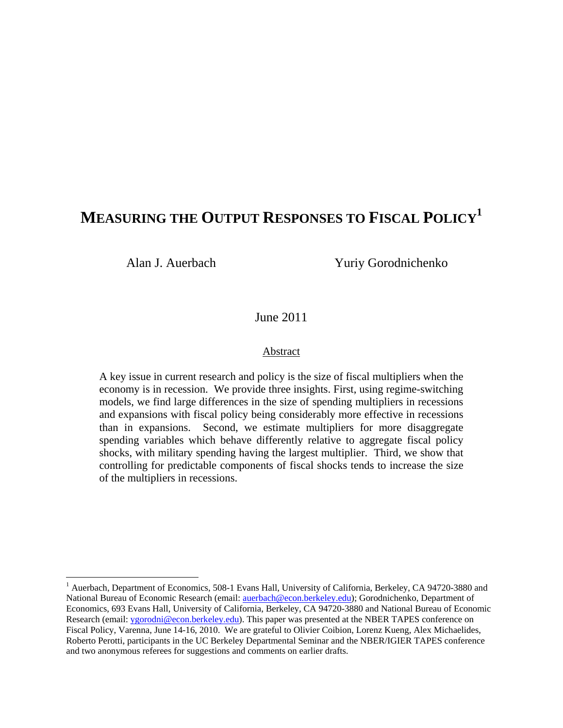# **MEASURING THE OUTPUT RESPONSES TO FISCAL POLICY1**

 $\overline{a}$ 

Alan J. Auerbach Yuriy Gorodnichenko

June 2011

#### Abstract

A key issue in current research and policy is the size of fiscal multipliers when the economy is in recession. We provide three insights. First, using regime-switching models, we find large differences in the size of spending multipliers in recessions and expansions with fiscal policy being considerably more effective in recessions than in expansions. Second, we estimate multipliers for more disaggregate spending variables which behave differently relative to aggregate fiscal policy shocks, with military spending having the largest multiplier. Third, we show that controlling for predictable components of fiscal shocks tends to increase the size of the multipliers in recessions.

<sup>&</sup>lt;sup>1</sup> Auerbach, Department of Economics, 508-1 Evans Hall, University of California, Berkeley, CA 94720-3880 and National Bureau of Economic Research (email: auerbach@econ.berkeley.edu); Gorodnichenko, Department of Economics, 693 Evans Hall, University of California, Berkeley, CA 94720-3880 and National Bureau of Economic Research (email: ygorodni@econ.berkeley.edu). This paper was presented at the NBER TAPES conference on Fiscal Policy, Varenna, June 14-16, 2010. We are grateful to Olivier Coibion, Lorenz Kueng, Alex Michaelides, Roberto Perotti, participants in the UC Berkeley Departmental Seminar and the NBER/IGIER TAPES conference and two anonymous referees for suggestions and comments on earlier drafts.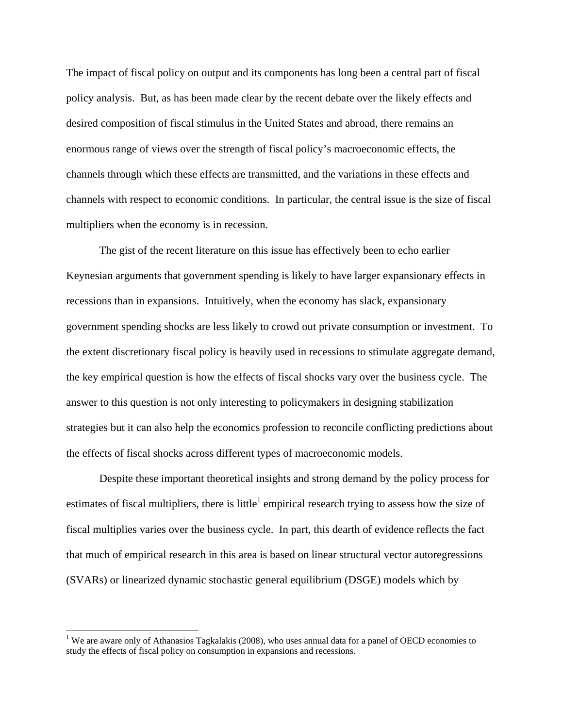The impact of fiscal policy on output and its components has long been a central part of fiscal policy analysis. But, as has been made clear by the recent debate over the likely effects and desired composition of fiscal stimulus in the United States and abroad, there remains an enormous range of views over the strength of fiscal policy's macroeconomic effects, the channels through which these effects are transmitted, and the variations in these effects and channels with respect to economic conditions. In particular, the central issue is the size of fiscal multipliers when the economy is in recession.

The gist of the recent literature on this issue has effectively been to echo earlier Keynesian arguments that government spending is likely to have larger expansionary effects in recessions than in expansions. Intuitively, when the economy has slack, expansionary government spending shocks are less likely to crowd out private consumption or investment. To the extent discretionary fiscal policy is heavily used in recessions to stimulate aggregate demand, the key empirical question is how the effects of fiscal shocks vary over the business cycle. The answer to this question is not only interesting to policymakers in designing stabilization strategies but it can also help the economics profession to reconcile conflicting predictions about the effects of fiscal shocks across different types of macroeconomic models.

Despite these important theoretical insights and strong demand by the policy process for estimates of fiscal multipliers, there is little<sup>1</sup> empirical research trying to assess how the size of fiscal multiplies varies over the business cycle. In part, this dearth of evidence reflects the fact that much of empirical research in this area is based on linear structural vector autoregressions (SVARs) or linearized dynamic stochastic general equilibrium (DSGE) models which by

<sup>&</sup>lt;sup>1</sup> We are aware only of Athanasios Tagkalakis (2008), who uses annual data for a panel of OECD economies to study the effects of fiscal policy on consumption in expansions and recessions.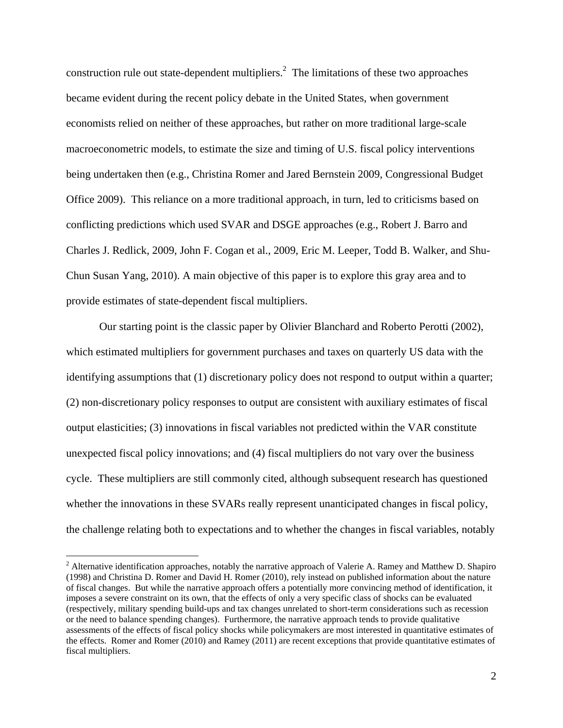construction rule out state-dependent multipliers.<sup>2</sup> The limitations of these two approaches became evident during the recent policy debate in the United States, when government economists relied on neither of these approaches, but rather on more traditional large-scale macroeconometric models, to estimate the size and timing of U.S. fiscal policy interventions being undertaken then (e.g., Christina Romer and Jared Bernstein 2009, Congressional Budget Office 2009). This reliance on a more traditional approach, in turn, led to criticisms based on conflicting predictions which used SVAR and DSGE approaches (e.g., Robert J. Barro and Charles J. Redlick, 2009, John F. Cogan et al., 2009, Eric M. Leeper, Todd B. Walker, and Shu-Chun Susan Yang, 2010). A main objective of this paper is to explore this gray area and to provide estimates of state-dependent fiscal multipliers.

Our starting point is the classic paper by Olivier Blanchard and Roberto Perotti (2002), which estimated multipliers for government purchases and taxes on quarterly US data with the identifying assumptions that (1) discretionary policy does not respond to output within a quarter; (2) non-discretionary policy responses to output are consistent with auxiliary estimates of fiscal output elasticities; (3) innovations in fiscal variables not predicted within the VAR constitute unexpected fiscal policy innovations; and (4) fiscal multipliers do not vary over the business cycle. These multipliers are still commonly cited, although subsequent research has questioned whether the innovations in these SVARs really represent unanticipated changes in fiscal policy, the challenge relating both to expectations and to whether the changes in fiscal variables, notably

<sup>&</sup>lt;sup>2</sup> Alternative identification approaches, notably the narrative approach of Valerie A. Ramey and Matthew D. Shapiro (1998) and Christina D. Romer and David H. Romer (2010), rely instead on published information about the nature of fiscal changes. But while the narrative approach offers a potentially more convincing method of identification, it imposes a severe constraint on its own, that the effects of only a very specific class of shocks can be evaluated (respectively, military spending build-ups and tax changes unrelated to short-term considerations such as recession or the need to balance spending changes). Furthermore, the narrative approach tends to provide qualitative assessments of the effects of fiscal policy shocks while policymakers are most interested in quantitative estimates of the effects. Romer and Romer (2010) and Ramey (2011) are recent exceptions that provide quantitative estimates of fiscal multipliers.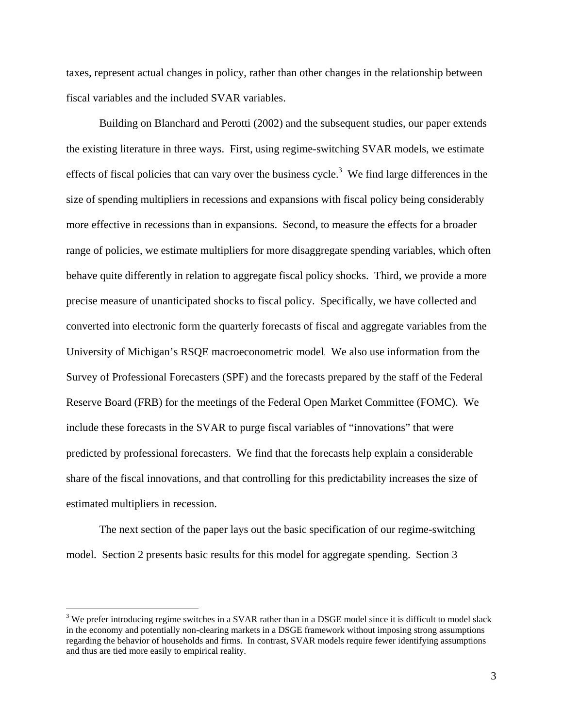taxes, represent actual changes in policy, rather than other changes in the relationship between fiscal variables and the included SVAR variables.

Building on Blanchard and Perotti (2002) and the subsequent studies, our paper extends the existing literature in three ways. First, using regime-switching SVAR models, we estimate effects of fiscal policies that can vary over the business cycle.<sup>3</sup> We find large differences in the size of spending multipliers in recessions and expansions with fiscal policy being considerably more effective in recessions than in expansions. Second, to measure the effects for a broader range of policies, we estimate multipliers for more disaggregate spending variables, which often behave quite differently in relation to aggregate fiscal policy shocks. Third, we provide a more precise measure of unanticipated shocks to fiscal policy. Specifically, we have collected and converted into electronic form the quarterly forecasts of fiscal and aggregate variables from the University of Michigan's RSQE macroeconometric model. We also use information from the Survey of Professional Forecasters (SPF) and the forecasts prepared by the staff of the Federal Reserve Board (FRB) for the meetings of the Federal Open Market Committee (FOMC). We include these forecasts in the SVAR to purge fiscal variables of "innovations" that were predicted by professional forecasters. We find that the forecasts help explain a considerable share of the fiscal innovations, and that controlling for this predictability increases the size of estimated multipliers in recession.

The next section of the paper lays out the basic specification of our regime-switching model. Section 2 presents basic results for this model for aggregate spending. Section 3

<u>.</u>

 $3$  We prefer introducing regime switches in a SVAR rather than in a DSGE model since it is difficult to model slack in the economy and potentially non-clearing markets in a DSGE framework without imposing strong assumptions regarding the behavior of households and firms. In contrast, SVAR models require fewer identifying assumptions and thus are tied more easily to empirical reality.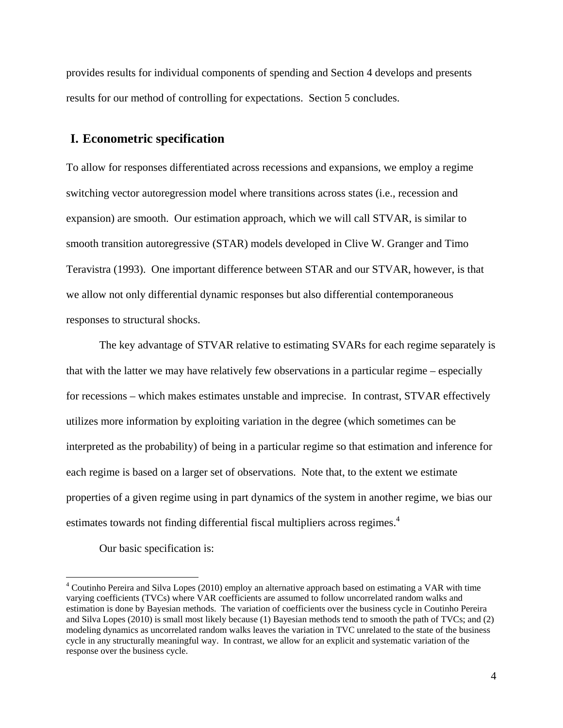provides results for individual components of spending and Section 4 develops and presents results for our method of controlling for expectations. Section 5 concludes.

### **I. Econometric specification**

To allow for responses differentiated across recessions and expansions, we employ a regime switching vector autoregression model where transitions across states (i.e., recession and expansion) are smooth. Our estimation approach, which we will call STVAR, is similar to smooth transition autoregressive (STAR) models developed in Clive W. Granger and Timo Teravistra (1993). One important difference between STAR and our STVAR, however, is that we allow not only differential dynamic responses but also differential contemporaneous responses to structural shocks.

The key advantage of STVAR relative to estimating SVARs for each regime separately is that with the latter we may have relatively few observations in a particular regime – especially for recessions – which makes estimates unstable and imprecise. In contrast, STVAR effectively utilizes more information by exploiting variation in the degree (which sometimes can be interpreted as the probability) of being in a particular regime so that estimation and inference for each regime is based on a larger set of observations. Note that, to the extent we estimate properties of a given regime using in part dynamics of the system in another regime, we bias our estimates towards not finding differential fiscal multipliers across regimes.<sup>4</sup>

Our basic specification is:

<u>.</u>

<sup>&</sup>lt;sup>4</sup> Coutinho Pereira and Silva Lopes (2010) employ an alternative approach based on estimating a VAR with time varying coefficients (TVCs) where VAR coefficients are assumed to follow uncorrelated random walks and estimation is done by Bayesian methods. The variation of coefficients over the business cycle in Coutinho Pereira and Silva Lopes (2010) is small most likely because (1) Bayesian methods tend to smooth the path of TVCs; and (2) modeling dynamics as uncorrelated random walks leaves the variation in TVC unrelated to the state of the business cycle in any structurally meaningful way. In contrast, we allow for an explicit and systematic variation of the response over the business cycle.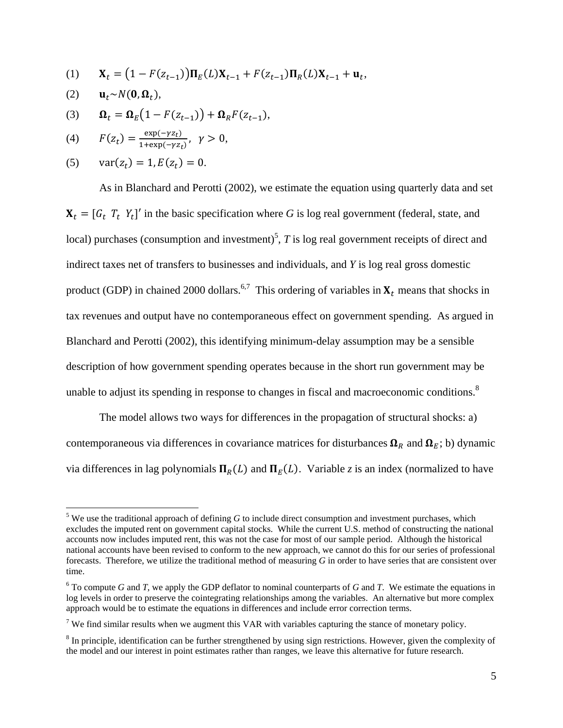- (1)  $\mathbf{X}_t = (1 F(z_{t-1})) \Pi_E(L) \mathbf{X}_{t-1} + F(z_{t-1}) \Pi_R(L) \mathbf{X}_{t-1} + \mathbf{u}_t,$
- (2)  $\mathbf{u}_t \sim N(\mathbf{0}, \mathbf{\Omega}_t),$

 $\overline{a}$ 

(3)  $\mathbf{\Omega}_t = \mathbf{\Omega}_E \big( 1 - F(z_{t-1}) \big) + \mathbf{\Omega}_R F(z_{t-1}),$ 

(4) 
$$
F(z_t) = \frac{\exp(-\gamma z_t)}{1 + \exp(-\gamma z_t)}, \quad \gamma > 0,
$$

(5) 
$$
var(z_t) = 1, E(z_t) = 0.
$$

As in Blanchard and Perotti (2002), we estimate the equation using quarterly data and set  $X_t = [G_t \, T_t \, Y_t]'$  in the basic specification where *G* is log real government (federal, state, and local) purchases (consumption and investment)<sup>5</sup>, *T* is log real government receipts of direct and indirect taxes net of transfers to businesses and individuals, and *Y* is log real gross domestic product (GDP) in chained 2000 dollars.<sup>6,7</sup> This ordering of variables in  $X_t$  means that shocks in tax revenues and output have no contemporaneous effect on government spending. As argued in Blanchard and Perotti (2002), this identifying minimum-delay assumption may be a sensible description of how government spending operates because in the short run government may be unable to adjust its spending in response to changes in fiscal and macroeconomic conditions.<sup>8</sup>

The model allows two ways for differences in the propagation of structural shocks: a) contemporaneous via differences in covariance matrices for disturbances  $\Omega_R$  and  $\Omega_E$ ; b) dynamic via differences in lag polynomials  $\Pi_R(L)$  and  $\Pi_E(L)$ . Variable *z* is an index (normalized to have

 $<sup>5</sup>$  We use the traditional approach of defining *G* to include direct consumption and investment purchases, which</sup> excludes the imputed rent on government capital stocks. While the current U.S. method of constructing the national accounts now includes imputed rent, this was not the case for most of our sample period. Although the historical national accounts have been revised to conform to the new approach, we cannot do this for our series of professional forecasts. Therefore, we utilize the traditional method of measuring *G* in order to have series that are consistent over time.

 $6$  To compute *G* and *T*, we apply the GDP deflator to nominal counterparts of *G* and *T*. We estimate the equations in log levels in order to preserve the cointegrating relationships among the variables. An alternative but more complex approach would be to estimate the equations in differences and include error correction terms.

<sup>&</sup>lt;sup>7</sup> We find similar results when we augment this VAR with variables capturing the stance of monetary policy.

 $8$  In principle, identification can be further strengthened by using sign restrictions. However, given the complexity of the model and our interest in point estimates rather than ranges, we leave this alternative for future research.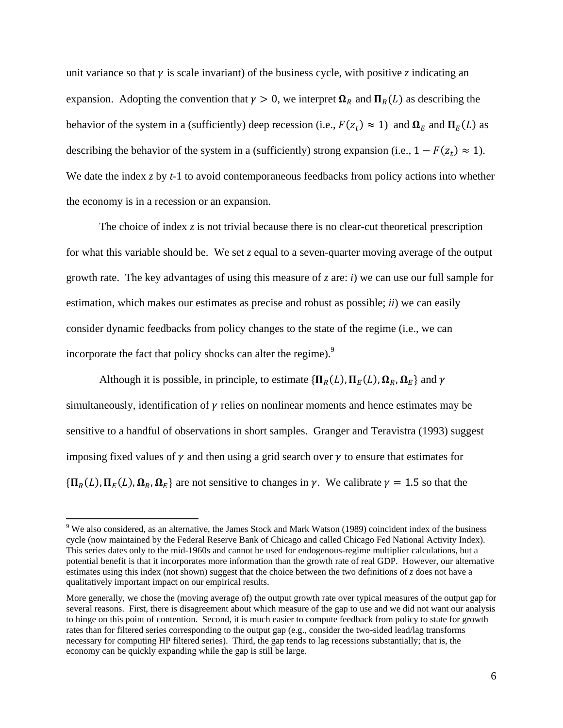unit variance so that  $\gamma$  is scale invariant) of the business cycle, with positive *z* indicating an expansion. Adopting the convention that  $\gamma > 0$ , we interpret  $\Omega_R$  and  $\Pi_R(L)$  as describing the behavior of the system in a (sufficiently) deep recession (i.e.,  $F(z_t) \approx 1$ ) and  $\Omega_E$  and  $\Pi_E(L)$  as describing the behavior of the system in a (sufficiently) strong expansion (i.e.,  $1 - F(z_t) \approx 1$ ). We date the index *z* by *t*-1 to avoid contemporaneous feedbacks from policy actions into whether the economy is in a recession or an expansion.

The choice of index  $\zeta$  is not trivial because there is no clear-cut theoretical prescription for what this variable should be. We set *z* equal to a seven-quarter moving average of the output growth rate. The key advantages of using this measure of *z* are: *i*) we can use our full sample for estimation, which makes our estimates as precise and robust as possible; *ii*) we can easily consider dynamic feedbacks from policy changes to the state of the regime (i.e., we can incorporate the fact that policy shocks can alter the regime). $9<sup>9</sup>$ 

Although it is possible, in principle, to estimate  $\{\Pi_R(L), \Pi_F(L), \Omega_R, \Omega_F\}$  and  $\gamma$ simultaneously, identification of  $\gamma$  relies on nonlinear moments and hence estimates may be sensitive to a handful of observations in short samples. Granger and Teravistra (1993) suggest imposing fixed values of  $\gamma$  and then using a grid search over  $\gamma$  to ensure that estimates for  ${\Pi_R(L), \Pi_E(L), \Omega_R, \Omega_E}$  are not sensitive to changes in  $\gamma$ . We calibrate  $\gamma = 1.5$  so that the

 $9$  We also considered, as an alternative, the James Stock and Mark Watson (1989) coincident index of the business cycle (now maintained by the Federal Reserve Bank of Chicago and called Chicago Fed National Activity Index). This series dates only to the mid-1960s and cannot be used for endogenous-regime multiplier calculations, but a potential benefit is that it incorporates more information than the growth rate of real GDP. However, our alternative estimates using this index (not shown) suggest that the choice between the two definitions of *z* does not have a qualitatively important impact on our empirical results.

More generally, we chose the (moving average of) the output growth rate over typical measures of the output gap for several reasons. First, there is disagreement about which measure of the gap to use and we did not want our analysis to hinge on this point of contention. Second, it is much easier to compute feedback from policy to state for growth rates than for filtered series corresponding to the output gap (e.g., consider the two-sided lead/lag transforms necessary for computing HP filtered series). Third, the gap tends to lag recessions substantially; that is, the economy can be quickly expanding while the gap is still be large.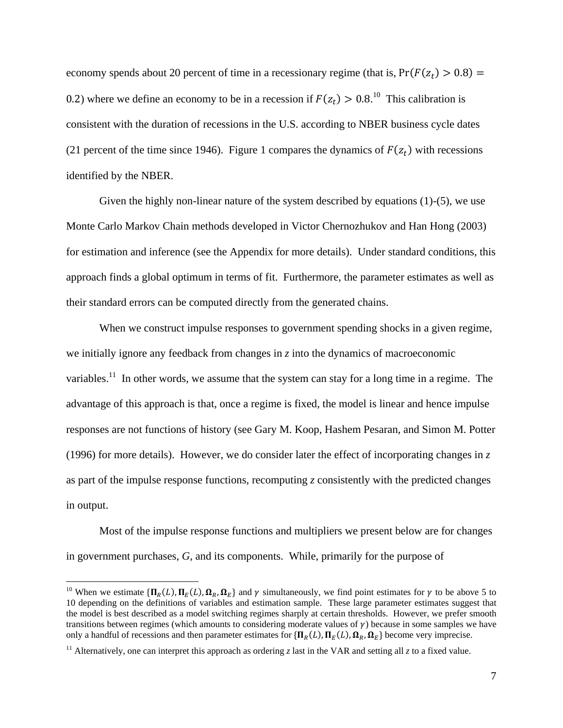economy spends about 20 percent of time in a recessionary regime (that is,  $Pr(F(z_t) > 0.8) =$ 0.2) where we define an economy to be in a recession if  $F(z_t) > 0.8$ .<sup>10</sup> This calibration is consistent with the duration of recessions in the U.S. according to NBER business cycle dates (21 percent of the time since 1946). Figure 1 compares the dynamics of  $F(z_t)$  with recessions identified by the NBER.

Given the highly non-linear nature of the system described by equations (1)-(5), we use Monte Carlo Markov Chain methods developed in Victor Chernozhukov and Han Hong (2003) for estimation and inference (see the Appendix for more details). Under standard conditions, this approach finds a global optimum in terms of fit. Furthermore, the parameter estimates as well as their standard errors can be computed directly from the generated chains.

When we construct impulse responses to government spending shocks in a given regime, we initially ignore any feedback from changes in *z* into the dynamics of macroeconomic variables.<sup>11</sup> In other words, we assume that the system can stay for a long time in a regime. The advantage of this approach is that, once a regime is fixed, the model is linear and hence impulse responses are not functions of history (see Gary M. Koop, Hashem Pesaran, and Simon M. Potter (1996) for more details). However, we do consider later the effect of incorporating changes in *z* as part of the impulse response functions, recomputing *z* consistently with the predicted changes in output.

Most of the impulse response functions and multipliers we present below are for changes in government purchases, *G*, and its components. While, primarily for the purpose of

1

<sup>&</sup>lt;sup>10</sup> When we estimate  $\{\Pi_R(L), \Pi_F(L), \Omega_R, \Omega_F\}$  and  $\gamma$  simultaneously, we find point estimates for  $\gamma$  to be above 5 to 10 depending on the definitions of variables and estimation sample. These large parameter estimates suggest that the model is best described as a model switching regimes sharply at certain thresholds. However, we prefer smooth transitions between regimes (which amounts to considering moderate values of  $\gamma$ ) because in some samples we have only a handful of recessions and then parameter estimates for  $\{\Pi_R(L), \Pi_E(L), \Omega_R, \Omega_E\}$  become very imprecise.

<sup>&</sup>lt;sup>11</sup> Alternatively, one can interpret this approach as ordering *z* last in the VAR and setting all *z* to a fixed value.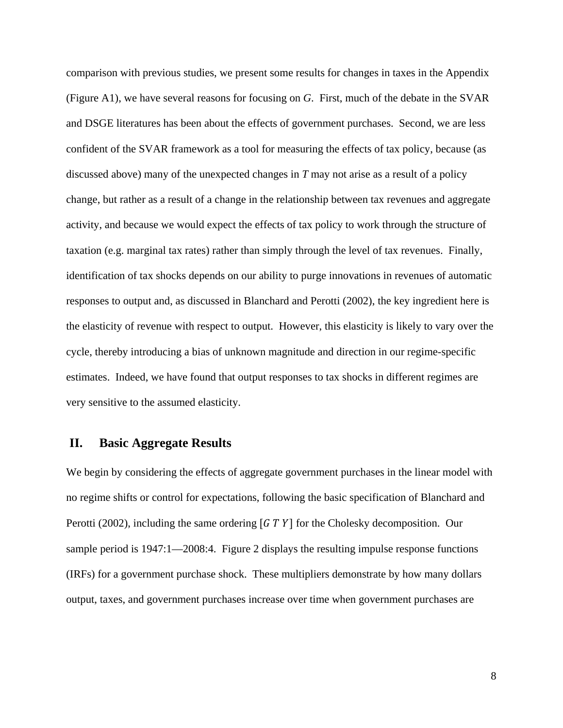comparison with previous studies, we present some results for changes in taxes in the Appendix (Figure A1), we have several reasons for focusing on *G*. First, much of the debate in the SVAR and DSGE literatures has been about the effects of government purchases. Second, we are less confident of the SVAR framework as a tool for measuring the effects of tax policy, because (as discussed above) many of the unexpected changes in *T* may not arise as a result of a policy change, but rather as a result of a change in the relationship between tax revenues and aggregate activity, and because we would expect the effects of tax policy to work through the structure of taxation (e.g. marginal tax rates) rather than simply through the level of tax revenues. Finally, identification of tax shocks depends on our ability to purge innovations in revenues of automatic responses to output and, as discussed in Blanchard and Perotti (2002), the key ingredient here is the elasticity of revenue with respect to output. However, this elasticity is likely to vary over the cycle, thereby introducing a bias of unknown magnitude and direction in our regime-specific estimates. Indeed, we have found that output responses to tax shocks in different regimes are very sensitive to the assumed elasticity.

#### **II. Basic Aggregate Results**

We begin by considering the effects of aggregate government purchases in the linear model with no regime shifts or control for expectations, following the basic specification of Blanchard and Perotti (2002), including the same ordering  $\left[$  G T Y  $\right]$  for the Cholesky decomposition. Our sample period is 1947:1—2008:4. Figure 2 displays the resulting impulse response functions (IRFs) for a government purchase shock. These multipliers demonstrate by how many dollars output, taxes, and government purchases increase over time when government purchases are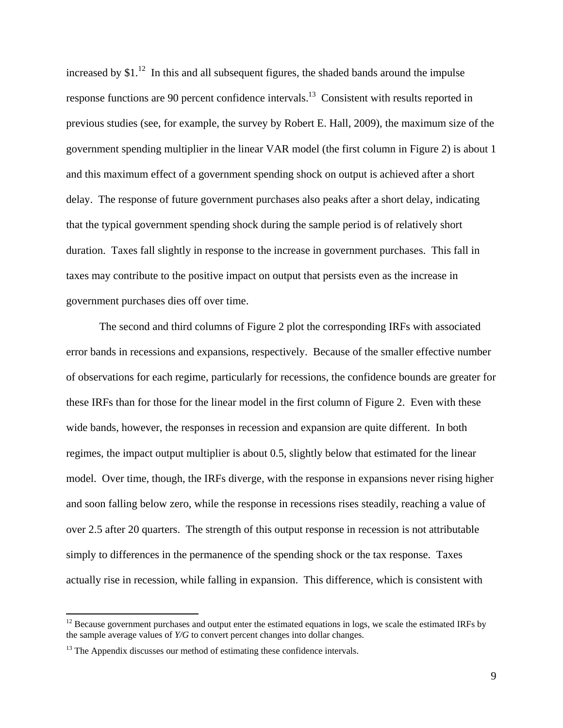increased by  $$1<sup>12</sup>$  In this and all subsequent figures, the shaded bands around the impulse response functions are 90 percent confidence intervals.<sup>13</sup> Consistent with results reported in previous studies (see, for example, the survey by Robert E. Hall, 2009), the maximum size of the government spending multiplier in the linear VAR model (the first column in Figure 2) is about 1 and this maximum effect of a government spending shock on output is achieved after a short delay. The response of future government purchases also peaks after a short delay, indicating that the typical government spending shock during the sample period is of relatively short duration. Taxes fall slightly in response to the increase in government purchases. This fall in taxes may contribute to the positive impact on output that persists even as the increase in government purchases dies off over time.

The second and third columns of Figure 2 plot the corresponding IRFs with associated error bands in recessions and expansions, respectively. Because of the smaller effective number of observations for each regime, particularly for recessions, the confidence bounds are greater for these IRFs than for those for the linear model in the first column of Figure 2. Even with these wide bands, however, the responses in recession and expansion are quite different. In both regimes, the impact output multiplier is about 0.5, slightly below that estimated for the linear model. Over time, though, the IRFs diverge, with the response in expansions never rising higher and soon falling below zero, while the response in recessions rises steadily, reaching a value of over 2.5 after 20 quarters. The strength of this output response in recession is not attributable simply to differences in the permanence of the spending shock or the tax response. Taxes actually rise in recession, while falling in expansion. This difference, which is consistent with

 $12$  Because government purchases and output enter the estimated equations in logs, we scale the estimated IRFs by the sample average values of *Y/G* to convert percent changes into dollar changes.

 $13$  The Appendix discusses our method of estimating these confidence intervals.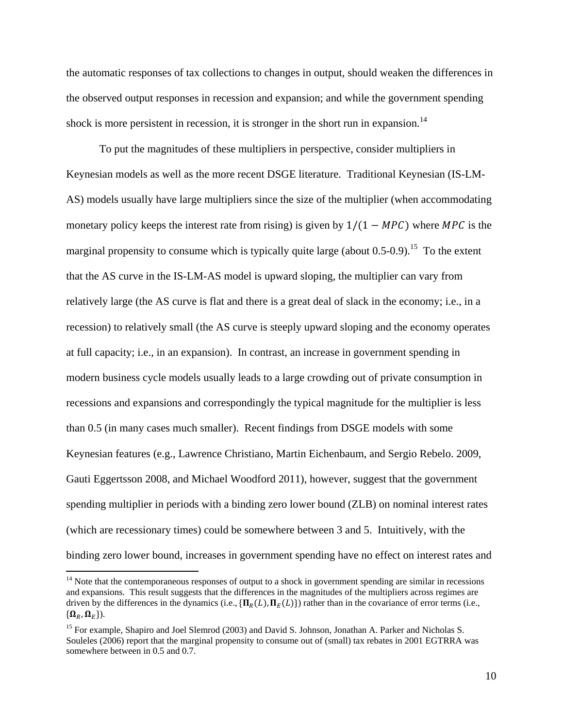the automatic responses of tax collections to changes in output, should weaken the differences in the observed output responses in recession and expansion; and while the government spending shock is more persistent in recession, it is stronger in the short run in expansion.<sup>14</sup>

To put the magnitudes of these multipliers in perspective, consider multipliers in Keynesian models as well as the more recent DSGE literature. Traditional Keynesian (IS-LM-AS) models usually have large multipliers since the size of the multiplier (when accommodating monetary policy keeps the interest rate from rising) is given by  $1/(1 - MPC)$  where MPC is the marginal propensity to consume which is typically quite large (about  $0.5$ - $0.9$ ).<sup>15</sup> To the extent that the AS curve in the IS-LM-AS model is upward sloping, the multiplier can vary from relatively large (the AS curve is flat and there is a great deal of slack in the economy; i.e., in a recession) to relatively small (the AS curve is steeply upward sloping and the economy operates at full capacity; i.e., in an expansion). In contrast, an increase in government spending in modern business cycle models usually leads to a large crowding out of private consumption in recessions and expansions and correspondingly the typical magnitude for the multiplier is less than 0.5 (in many cases much smaller). Recent findings from DSGE models with some Keynesian features (e.g., Lawrence Christiano, Martin Eichenbaum, and Sergio Rebelo. 2009, Gauti Eggertsson 2008, and Michael Woodford 2011), however, suggest that the government spending multiplier in periods with a binding zero lower bound (ZLB) on nominal interest rates (which are recessionary times) could be somewhere between 3 and 5. Intuitively, with the binding zero lower bound, increases in government spending have no effect on interest rates and

 $14$  Note that the contemporaneous responses of output to a shock in government spending are similar in recessions and expansions. This result suggests that the differences in the magnitudes of the multipliers across regimes are driven by the differences in the dynamics (i.e.,  $\{\Pi_R(L), \Pi_E(L)\}\$ ) rather than in the covariance of error terms (i.e.,  $\{\boldsymbol{\Omega}_R, \boldsymbol{\Omega}_E\}$ ).

<sup>&</sup>lt;sup>15</sup> For example, Shapiro and Joel Slemrod (2003) and David S. Johnson, Jonathan A. Parker and Nicholas S. Souleles (2006) report that the marginal propensity to consume out of (small) tax rebates in 2001 EGTRRA was somewhere between in 0.5 and 0.7.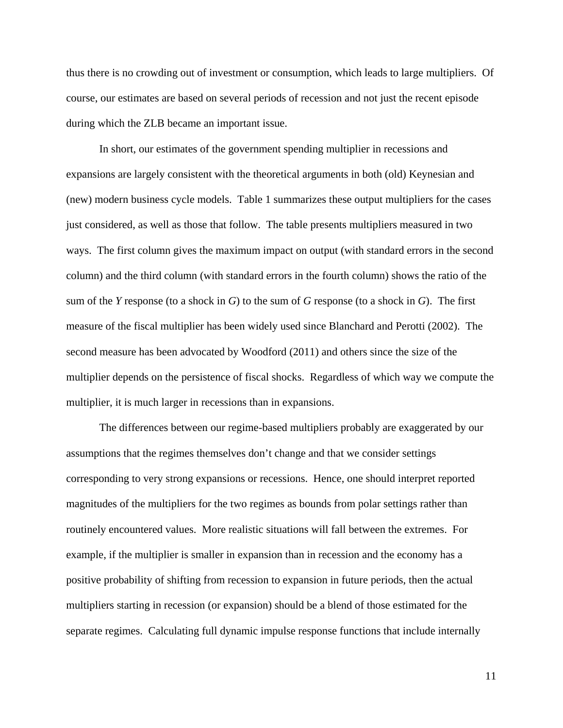thus there is no crowding out of investment or consumption, which leads to large multipliers. Of course, our estimates are based on several periods of recession and not just the recent episode during which the ZLB became an important issue.

In short, our estimates of the government spending multiplier in recessions and expansions are largely consistent with the theoretical arguments in both (old) Keynesian and (new) modern business cycle models. Table 1 summarizes these output multipliers for the cases just considered, as well as those that follow. The table presents multipliers measured in two ways. The first column gives the maximum impact on output (with standard errors in the second column) and the third column (with standard errors in the fourth column) shows the ratio of the sum of the *Y* response (to a shock in *G*) to the sum of *G* response (to a shock in *G*). The first measure of the fiscal multiplier has been widely used since Blanchard and Perotti (2002). The second measure has been advocated by Woodford (2011) and others since the size of the multiplier depends on the persistence of fiscal shocks. Regardless of which way we compute the multiplier, it is much larger in recessions than in expansions.

The differences between our regime-based multipliers probably are exaggerated by our assumptions that the regimes themselves don't change and that we consider settings corresponding to very strong expansions or recessions. Hence, one should interpret reported magnitudes of the multipliers for the two regimes as bounds from polar settings rather than routinely encountered values. More realistic situations will fall between the extremes. For example, if the multiplier is smaller in expansion than in recession and the economy has a positive probability of shifting from recession to expansion in future periods, then the actual multipliers starting in recession (or expansion) should be a blend of those estimated for the separate regimes. Calculating full dynamic impulse response functions that include internally

11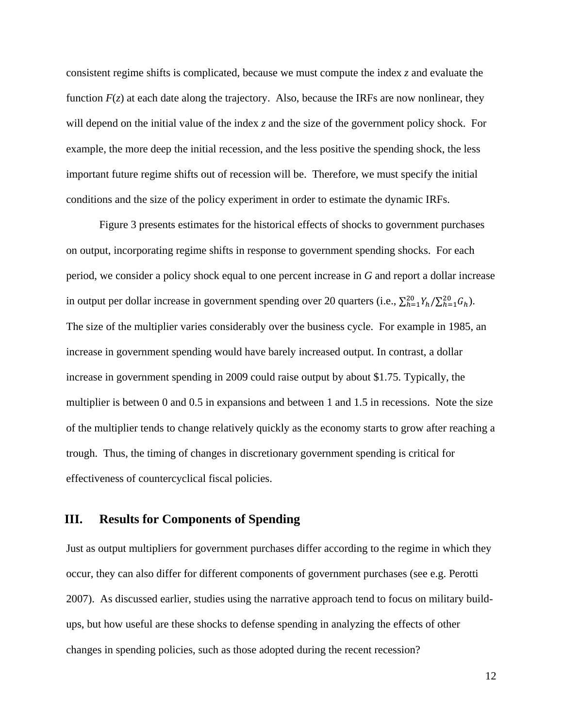consistent regime shifts is complicated, because we must compute the index *z* and evaluate the function  $F(z)$  at each date along the trajectory. Also, because the IRFs are now nonlinear, they will depend on the initial value of the index *z* and the size of the government policy shock. For example, the more deep the initial recession, and the less positive the spending shock, the less important future regime shifts out of recession will be. Therefore, we must specify the initial conditions and the size of the policy experiment in order to estimate the dynamic IRFs.

Figure 3 presents estimates for the historical effects of shocks to government purchases on output, incorporating regime shifts in response to government spending shocks. For each period, we consider a policy shock equal to one percent increase in *G* and report a dollar increase in output per dollar increase in government spending over 20 quarters (i.e.,  $\sum_{h=1}^{20} Y_h / \sum_{h=1}^{20} G_h$ ). The size of the multiplier varies considerably over the business cycle. For example in 1985, an increase in government spending would have barely increased output. In contrast, a dollar increase in government spending in 2009 could raise output by about \$1.75. Typically, the multiplier is between 0 and 0.5 in expansions and between 1 and 1.5 in recessions. Note the size of the multiplier tends to change relatively quickly as the economy starts to grow after reaching a trough. Thus, the timing of changes in discretionary government spending is critical for effectiveness of countercyclical fiscal policies.

# **III. Results for Components of Spending**

Just as output multipliers for government purchases differ according to the regime in which they occur, they can also differ for different components of government purchases (see e.g. Perotti 2007). As discussed earlier, studies using the narrative approach tend to focus on military buildups, but how useful are these shocks to defense spending in analyzing the effects of other changes in spending policies, such as those adopted during the recent recession?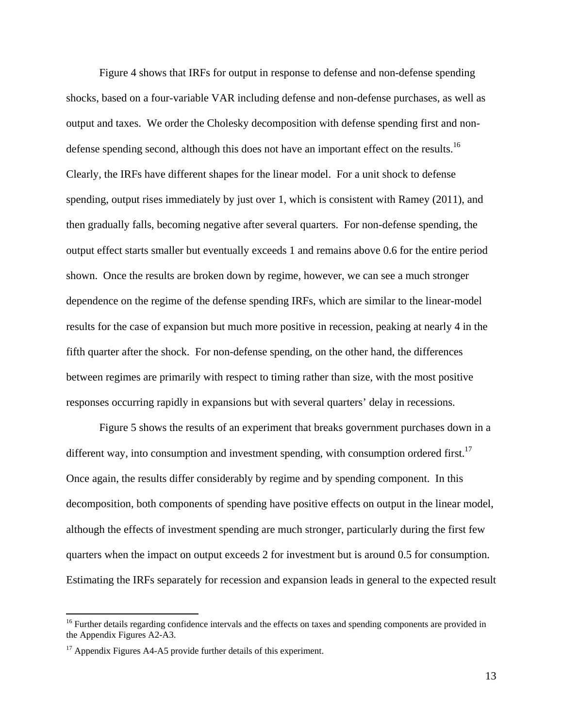Figure 4 shows that IRFs for output in response to defense and non-defense spending shocks, based on a four-variable VAR including defense and non-defense purchases, as well as output and taxes. We order the Cholesky decomposition with defense spending first and nondefense spending second, although this does not have an important effect on the results.<sup>16</sup> Clearly, the IRFs have different shapes for the linear model. For a unit shock to defense spending, output rises immediately by just over 1, which is consistent with Ramey (2011), and then gradually falls, becoming negative after several quarters. For non-defense spending, the output effect starts smaller but eventually exceeds 1 and remains above 0.6 for the entire period shown. Once the results are broken down by regime, however, we can see a much stronger dependence on the regime of the defense spending IRFs, which are similar to the linear-model results for the case of expansion but much more positive in recession, peaking at nearly 4 in the fifth quarter after the shock. For non-defense spending, on the other hand, the differences between regimes are primarily with respect to timing rather than size, with the most positive responses occurring rapidly in expansions but with several quarters' delay in recessions.

 Figure 5 shows the results of an experiment that breaks government purchases down in a different way, into consumption and investment spending, with consumption ordered first.<sup>17</sup> Once again, the results differ considerably by regime and by spending component. In this decomposition, both components of spending have positive effects on output in the linear model, although the effects of investment spending are much stronger, particularly during the first few quarters when the impact on output exceeds 2 for investment but is around 0.5 for consumption. Estimating the IRFs separately for recession and expansion leads in general to the expected result

<sup>&</sup>lt;sup>16</sup> Further details regarding confidence intervals and the effects on taxes and spending components are provided in the Appendix Figures A2-A3.

<sup>&</sup>lt;sup>17</sup> Appendix Figures A4-A5 provide further details of this experiment.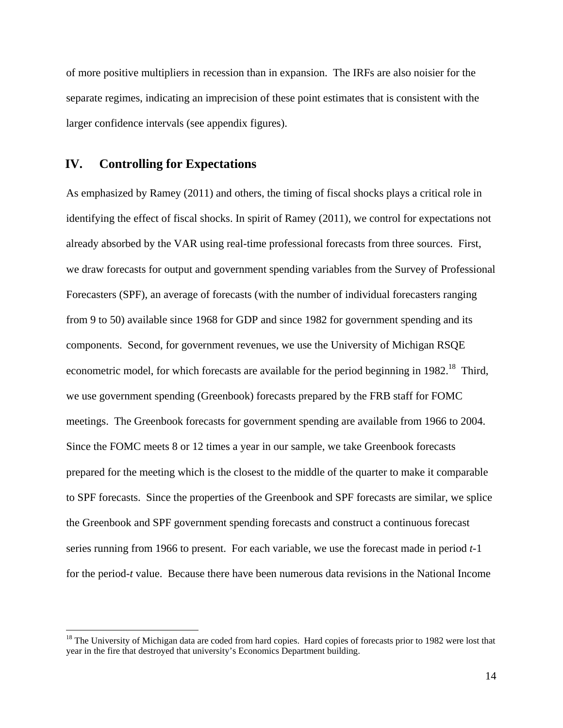of more positive multipliers in recession than in expansion. The IRFs are also noisier for the separate regimes, indicating an imprecision of these point estimates that is consistent with the larger confidence intervals (see appendix figures).

## **IV. Controlling for Expectations**

 $\overline{a}$ 

As emphasized by Ramey (2011) and others, the timing of fiscal shocks plays a critical role in identifying the effect of fiscal shocks. In spirit of Ramey (2011), we control for expectations not already absorbed by the VAR using real-time professional forecasts from three sources. First, we draw forecasts for output and government spending variables from the Survey of Professional Forecasters (SPF), an average of forecasts (with the number of individual forecasters ranging from 9 to 50) available since 1968 for GDP and since 1982 for government spending and its components. Second, for government revenues, we use the University of Michigan RSQE econometric model, for which forecasts are available for the period beginning in  $1982<sup>18</sup>$ . Third, we use government spending (Greenbook) forecasts prepared by the FRB staff for FOMC meetings. The Greenbook forecasts for government spending are available from 1966 to 2004. Since the FOMC meets 8 or 12 times a year in our sample, we take Greenbook forecasts prepared for the meeting which is the closest to the middle of the quarter to make it comparable to SPF forecasts. Since the properties of the Greenbook and SPF forecasts are similar, we splice the Greenbook and SPF government spending forecasts and construct a continuous forecast series running from 1966 to present. For each variable, we use the forecast made in period *t*-1 for the period-*t* value. Because there have been numerous data revisions in the National Income

<sup>&</sup>lt;sup>18</sup> The University of Michigan data are coded from hard copies. Hard copies of forecasts prior to 1982 were lost that year in the fire that destroyed that university's Economics Department building.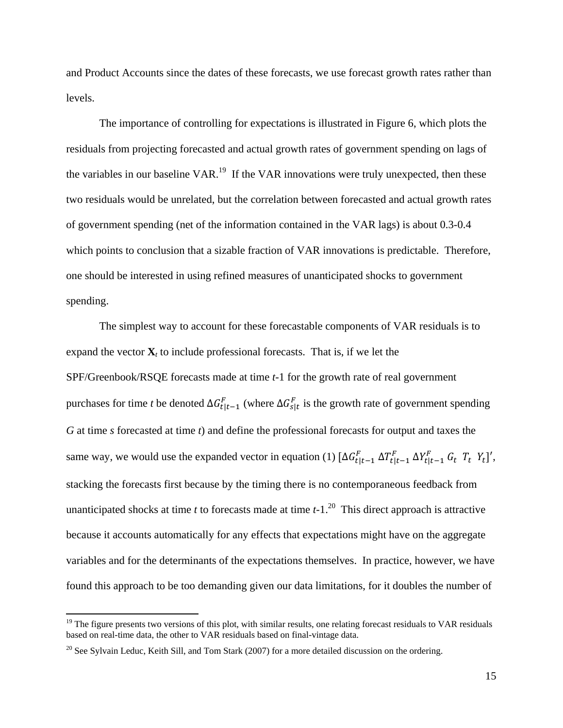and Product Accounts since the dates of these forecasts, we use forecast growth rates rather than levels.

The importance of controlling for expectations is illustrated in Figure 6, which plots the residuals from projecting forecasted and actual growth rates of government spending on lags of the variables in our baseline VAR.<sup>19</sup> If the VAR innovations were truly unexpected, then these two residuals would be unrelated, but the correlation between forecasted and actual growth rates of government spending (net of the information contained in the VAR lags) is about 0.3-0.4 which points to conclusion that a sizable fraction of VAR innovations is predictable. Therefore, one should be interested in using refined measures of unanticipated shocks to government spending.

 The simplest way to account for these forecastable components of VAR residuals is to expand the vector  $\mathbf{X}_t$  to include professional forecasts. That is, if we let the SPF/Greenbook/RSQE forecasts made at time *t*-1 for the growth rate of real government purchases for time *t* be denoted  $\Delta G_{t|t-1}^F$  (where  $\Delta G_{s|t}^F$  is the growth rate of government spending *G* at time *s* forecasted at time *t*) and define the professional forecasts for output and taxes the same way, we would use the expanded vector in equation (1)  $[\Delta G_{t|t-1}^F \Delta T_{t|t-1}^F \Delta Y_{t|t-1}^F G_t T_t Y_t]'$ , stacking the forecasts first because by the timing there is no contemporaneous feedback from unanticipated shocks at time *t* to forecasts made at time  $t-1$ <sup>20</sup>. This direct approach is attractive because it accounts automatically for any effects that expectations might have on the aggregate variables and for the determinants of the expectations themselves. In practice, however, we have found this approach to be too demanding given our data limitations, for it doubles the number of

 $19$  The figure presents two versions of this plot, with similar results, one relating forecast residuals to VAR residuals based on real-time data, the other to VAR residuals based on final-vintage data.

<sup>&</sup>lt;sup>20</sup> See Sylvain Leduc, Keith Sill, and Tom Stark (2007) for a more detailed discussion on the ordering.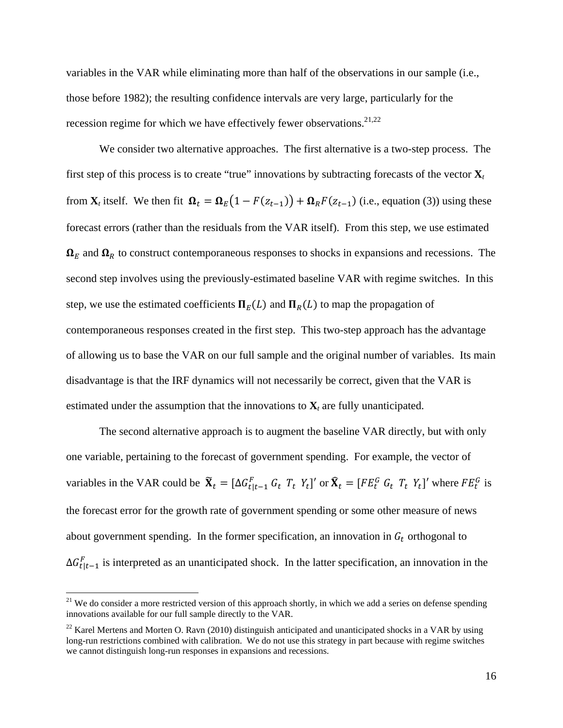variables in the VAR while eliminating more than half of the observations in our sample (i.e., those before 1982); the resulting confidence intervals are very large, particularly for the recession regime for which we have effectively fewer observations. $21,22$ 

We consider two alternative approaches. The first alternative is a two-step process. The first step of this process is to create "true" innovations by subtracting forecasts of the vector  $\mathbf{X}_t$ from  $\mathbf{X}_t$  itself. We then fit  $\mathbf{\Omega}_t = \mathbf{\Omega}_E(1 - F(z_{t-1})) + \mathbf{\Omega}_R F(z_{t-1})$  (i.e., equation (3)) using these forecast errors (rather than the residuals from the VAR itself). From this step, we use estimated  $\Omega_E$  and  $\Omega_R$  to construct contemporaneous responses to shocks in expansions and recessions. The second step involves using the previously-estimated baseline VAR with regime switches. In this step, we use the estimated coefficients  $\Pi_E(L)$  and  $\Pi_R(L)$  to map the propagation of contemporaneous responses created in the first step. This two-step approach has the advantage of allowing us to base the VAR on our full sample and the original number of variables. Its main disadvantage is that the IRF dynamics will not necessarily be correct, given that the VAR is estimated under the assumption that the innovations to  $\mathbf{X}_t$  are fully unanticipated.

The second alternative approach is to augment the baseline VAR directly, but with only one variable, pertaining to the forecast of government spending. For example, the vector of variables in the VAR could be  $\tilde{\mathbf{X}}_t = [\Delta G_{t|t-1}^F G_t T_t Y_t]'$  or  $\hat{\mathbf{X}}_t = [FE_t^G G_t T_t Y_t]'$  where  $FE_t^G$  is the forecast error for the growth rate of government spending or some other measure of news about government spending. In the former specification, an innovation in  $G_t$  orthogonal to  $\Delta G_{t|t-1}^F$  is interpreted as an unanticipated shock. In the latter specification, an innovation in the

 $21$  We do consider a more restricted version of this approach shortly, in which we add a series on defense spending innovations available for our full sample directly to the VAR.

 $22$  Karel Mertens and Morten O. Ravn (2010) distinguish anticipated and unanticipated shocks in a VAR by using long-run restrictions combined with calibration. We do not use this strategy in part because with regime switches we cannot distinguish long-run responses in expansions and recessions.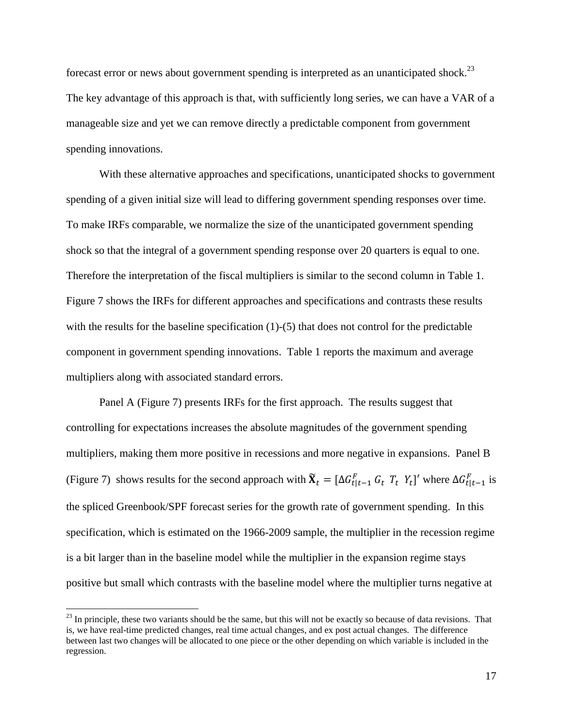forecast error or news about government spending is interpreted as an unanticipated shock.<sup>23</sup> The key advantage of this approach is that, with sufficiently long series, we can have a VAR of a manageable size and yet we can remove directly a predictable component from government spending innovations.

With these alternative approaches and specifications, unanticipated shocks to government spending of a given initial size will lead to differing government spending responses over time. To make IRFs comparable, we normalize the size of the unanticipated government spending shock so that the integral of a government spending response over 20 quarters is equal to one. Therefore the interpretation of the fiscal multipliers is similar to the second column in Table 1. Figure 7 shows the IRFs for different approaches and specifications and contrasts these results with the results for the baseline specification  $(1)-(5)$  that does not control for the predictable component in government spending innovations. Table 1 reports the maximum and average multipliers along with associated standard errors.

Panel A (Figure 7) presents IRFs for the first approach. The results suggest that controlling for expectations increases the absolute magnitudes of the government spending multipliers, making them more positive in recessions and more negative in expansions. Panel B (Figure 7) shows results for the second approach with  $\widetilde{\mathbf{X}}_t = [\Delta G_{t|t-1}^F G_t T_t Y_t]'$  where  $\Delta G_{t|t-1}^F$  is the spliced Greenbook/SPF forecast series for the growth rate of government spending. In this specification, which is estimated on the 1966-2009 sample, the multiplier in the recession regime is a bit larger than in the baseline model while the multiplier in the expansion regime stays positive but small which contrasts with the baseline model where the multiplier turns negative at

<u>.</u>

 $^{23}$  In principle, these two variants should be the same, but this will not be exactly so because of data revisions. That is, we have real-time predicted changes, real time actual changes, and ex post actual changes. The difference between last two changes will be allocated to one piece or the other depending on which variable is included in the regression.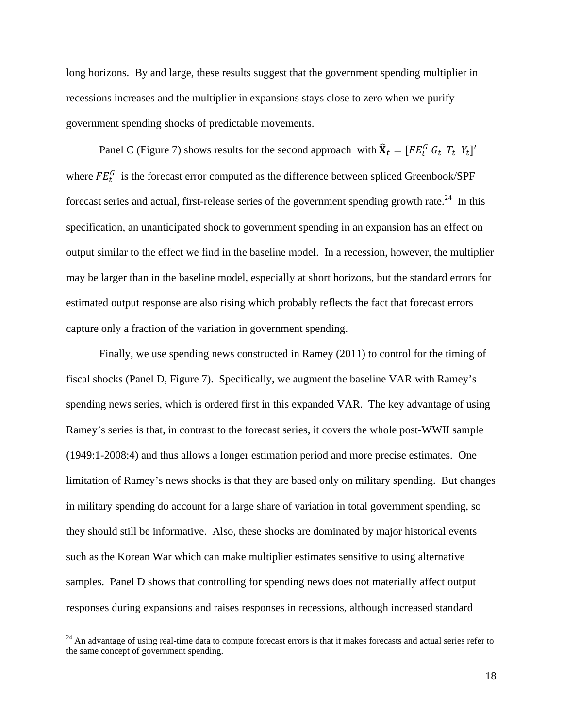long horizons. By and large, these results suggest that the government spending multiplier in recessions increases and the multiplier in expansions stays close to zero when we purify government spending shocks of predictable movements.

Panel C (Figure 7) shows results for the second approach with  $\hat{\mathbf{X}}_t = [FE_t^G \ G_t \ T_t \ Y_t]'$ where  $FE_t^G$  is the forecast error computed as the difference between spliced Greenbook/SPF forecast series and actual, first-release series of the government spending growth rate.<sup>24</sup> In this specification, an unanticipated shock to government spending in an expansion has an effect on output similar to the effect we find in the baseline model. In a recession, however, the multiplier may be larger than in the baseline model, especially at short horizons, but the standard errors for estimated output response are also rising which probably reflects the fact that forecast errors capture only a fraction of the variation in government spending.

Finally, we use spending news constructed in Ramey (2011) to control for the timing of fiscal shocks (Panel D, Figure 7). Specifically, we augment the baseline VAR with Ramey's spending news series, which is ordered first in this expanded VAR. The key advantage of using Ramey's series is that, in contrast to the forecast series, it covers the whole post-WWII sample (1949:1-2008:4) and thus allows a longer estimation period and more precise estimates. One limitation of Ramey's news shocks is that they are based only on military spending. But changes in military spending do account for a large share of variation in total government spending, so they should still be informative. Also, these shocks are dominated by major historical events such as the Korean War which can make multiplier estimates sensitive to using alternative samples. Panel D shows that controlling for spending news does not materially affect output responses during expansions and raises responses in recessions, although increased standard

1

 $24$  An advantage of using real-time data to compute forecast errors is that it makes forecasts and actual series refer to the same concept of government spending.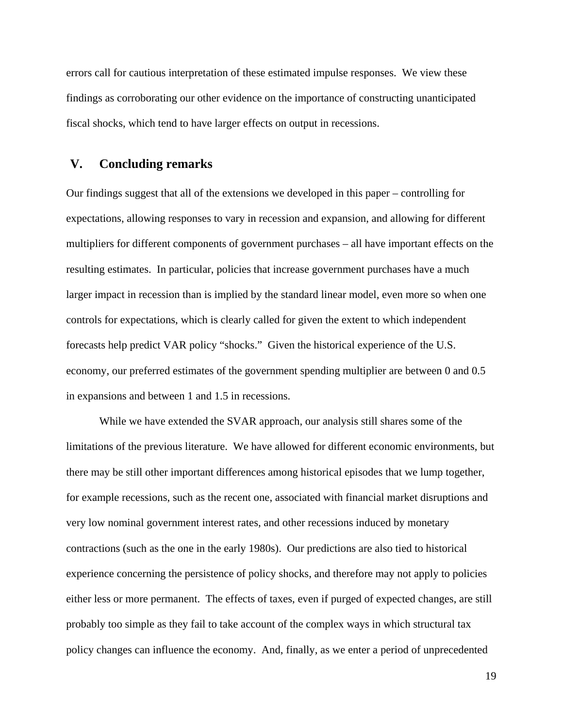errors call for cautious interpretation of these estimated impulse responses. We view these findings as corroborating our other evidence on the importance of constructing unanticipated fiscal shocks, which tend to have larger effects on output in recessions.

## **V. Concluding remarks**

Our findings suggest that all of the extensions we developed in this paper – controlling for expectations, allowing responses to vary in recession and expansion, and allowing for different multipliers for different components of government purchases – all have important effects on the resulting estimates. In particular, policies that increase government purchases have a much larger impact in recession than is implied by the standard linear model, even more so when one controls for expectations, which is clearly called for given the extent to which independent forecasts help predict VAR policy "shocks." Given the historical experience of the U.S. economy, our preferred estimates of the government spending multiplier are between 0 and 0.5 in expansions and between 1 and 1.5 in recessions.

While we have extended the SVAR approach, our analysis still shares some of the limitations of the previous literature. We have allowed for different economic environments, but there may be still other important differences among historical episodes that we lump together, for example recessions, such as the recent one, associated with financial market disruptions and very low nominal government interest rates, and other recessions induced by monetary contractions (such as the one in the early 1980s). Our predictions are also tied to historical experience concerning the persistence of policy shocks, and therefore may not apply to policies either less or more permanent. The effects of taxes, even if purged of expected changes, are still probably too simple as they fail to take account of the complex ways in which structural tax policy changes can influence the economy. And, finally, as we enter a period of unprecedented

19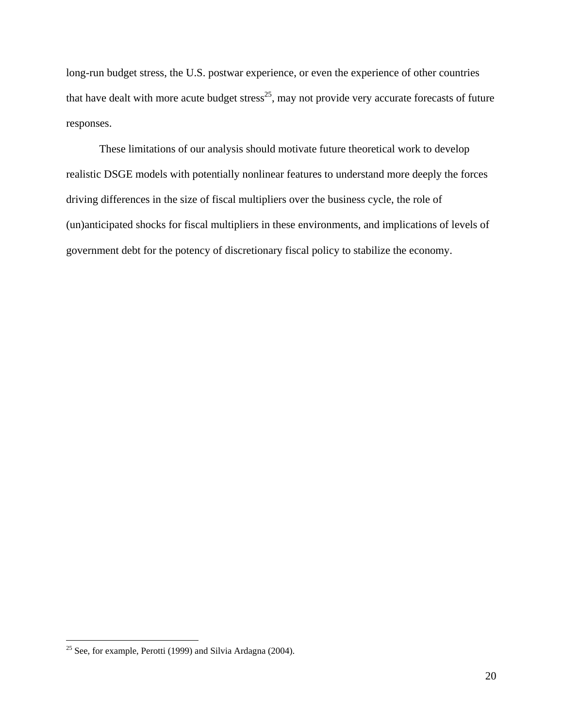long-run budget stress, the U.S. postwar experience, or even the experience of other countries that have dealt with more acute budget stress<sup>25</sup>, may not provide very accurate forecasts of future responses.

These limitations of our analysis should motivate future theoretical work to develop realistic DSGE models with potentially nonlinear features to understand more deeply the forces driving differences in the size of fiscal multipliers over the business cycle, the role of (un)anticipated shocks for fiscal multipliers in these environments, and implications of levels of government debt for the potency of discretionary fiscal policy to stabilize the economy.

<u>.</u>

<sup>&</sup>lt;sup>25</sup> See, for example, Perotti (1999) and Silvia Ardagna (2004).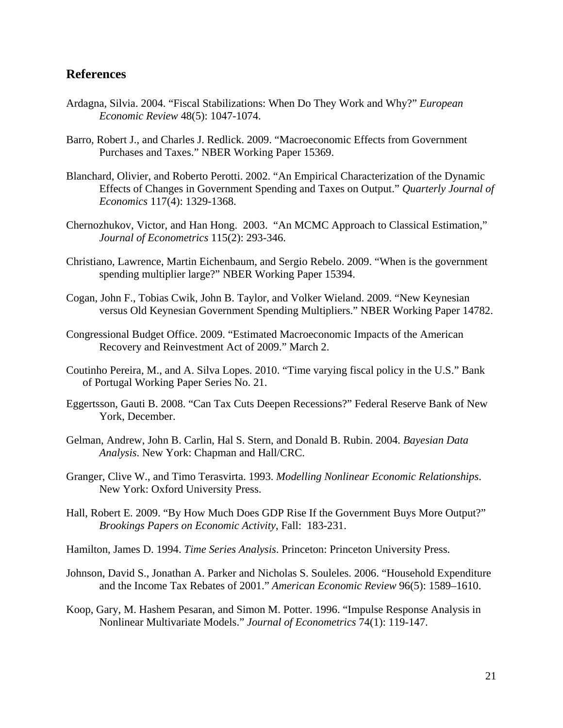## **References**

- Ardagna, Silvia. 2004. "Fiscal Stabilizations: When Do They Work and Why?" *European Economic Review* 48(5): 1047-1074.
- Barro, Robert J., and Charles J. Redlick. 2009. "Macroeconomic Effects from Government Purchases and Taxes." NBER Working Paper 15369.
- Blanchard, Olivier, and Roberto Perotti. 2002. "An Empirical Characterization of the Dynamic Effects of Changes in Government Spending and Taxes on Output." *Quarterly Journal of Economics* 117(4): 1329-1368.
- Chernozhukov, Victor, and Han Hong. 2003. "An MCMC Approach to Classical Estimation," *Journal of Econometrics* 115(2): 293-346.
- Christiano, Lawrence, Martin Eichenbaum, and Sergio Rebelo. 2009. "When is the government spending multiplier large?" NBER Working Paper 15394.
- Cogan, John F., Tobias Cwik, John B. Taylor, and Volker Wieland. 2009. "New Keynesian versus Old Keynesian Government Spending Multipliers." NBER Working Paper 14782.
- Congressional Budget Office. 2009. "Estimated Macroeconomic Impacts of the American Recovery and Reinvestment Act of 2009." March 2.
- Coutinho Pereira, M., and A. Silva Lopes. 2010. "Time varying fiscal policy in the U.S." Bank of Portugal Working Paper Series No. 21.
- Eggertsson, Gauti B. 2008. "Can Tax Cuts Deepen Recessions?" Federal Reserve Bank of New York, December.
- Gelman, Andrew, John B. Carlin, Hal S. Stern, and Donald B. Rubin. 2004. *Bayesian Data Analysis*. New York: Chapman and Hall/CRC.
- Granger, Clive W., and Timo Terasvirta. 1993. *Modelling Nonlinear Economic Relationships*. New York: Oxford University Press.
- Hall, Robert E. 2009. "By How Much Does GDP Rise If the Government Buys More Output?" *Brookings Papers on Economic Activity*, Fall: 183-231.
- Hamilton, James D. 1994. *Time Series Analysis*. Princeton: Princeton University Press.
- Johnson, David S., Jonathan A. Parker and Nicholas S. Souleles. 2006. "Household Expenditure and the Income Tax Rebates of 2001." *American Economic Review* 96(5): 1589–1610.
- Koop, Gary, M. Hashem Pesaran, and Simon M. Potter. 1996. "Impulse Response Analysis in Nonlinear Multivariate Models." *Journal of Econometrics* 74(1): 119-147.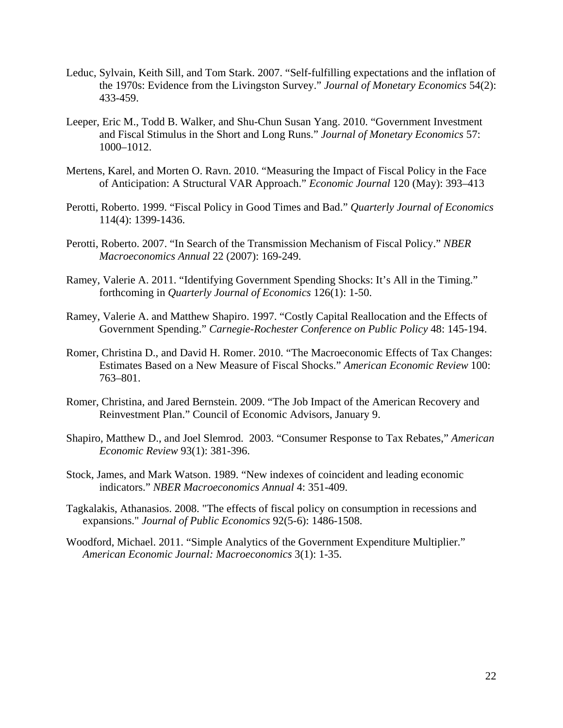- Leduc, Sylvain, Keith Sill, and Tom Stark. 2007. "Self-fulfilling expectations and the inflation of the 1970s: Evidence from the Livingston Survey." *Journal of Monetary Economics* 54(2): 433-459.
- Leeper, Eric M., Todd B. Walker, and Shu-Chun Susan Yang. 2010. "Government Investment and Fiscal Stimulus in the Short and Long Runs." *Journal of Monetary Economics* 57: 1000–1012.
- Mertens, Karel, and Morten O. Ravn. 2010. "Measuring the Impact of Fiscal Policy in the Face of Anticipation: A Structural VAR Approach." *Economic Journal* 120 (May): 393–413
- Perotti, Roberto. 1999. "Fiscal Policy in Good Times and Bad." *Quarterly Journal of Economics* 114(4): 1399-1436.
- Perotti, Roberto. 2007. "In Search of the Transmission Mechanism of Fiscal Policy." *NBER Macroeconomics Annual* 22 (2007): 169-249.
- Ramey, Valerie A. 2011. "Identifying Government Spending Shocks: It's All in the Timing." forthcoming in *Quarterly Journal of Economics* 126(1): 1-50.
- Ramey, Valerie A. and Matthew Shapiro. 1997. "Costly Capital Reallocation and the Effects of Government Spending." *Carnegie-Rochester Conference on Public Policy* 48: 145-194.
- Romer, Christina D., and David H. Romer. 2010. "The Macroeconomic Effects of Tax Changes: Estimates Based on a New Measure of Fiscal Shocks." *American Economic Review* 100: 763–801.
- Romer, Christina, and Jared Bernstein. 2009. "The Job Impact of the American Recovery and Reinvestment Plan." Council of Economic Advisors, January 9.
- Shapiro, Matthew D., and Joel Slemrod. 2003. "Consumer Response to Tax Rebates," *American Economic Review* 93(1): 381-396.
- Stock, James, and Mark Watson. 1989. "New indexes of coincident and leading economic indicators." *NBER Macroeconomics Annual* 4: 351-409.
- Tagkalakis, Athanasios. 2008. "The effects of fiscal policy on consumption in recessions and expansions." *Journal of Public Economics* 92(5-6): 1486-1508.
- Woodford, Michael. 2011. "Simple Analytics of the Government Expenditure Multiplier." *American Economic Journal: Macroeconomics* 3(1): 1-35.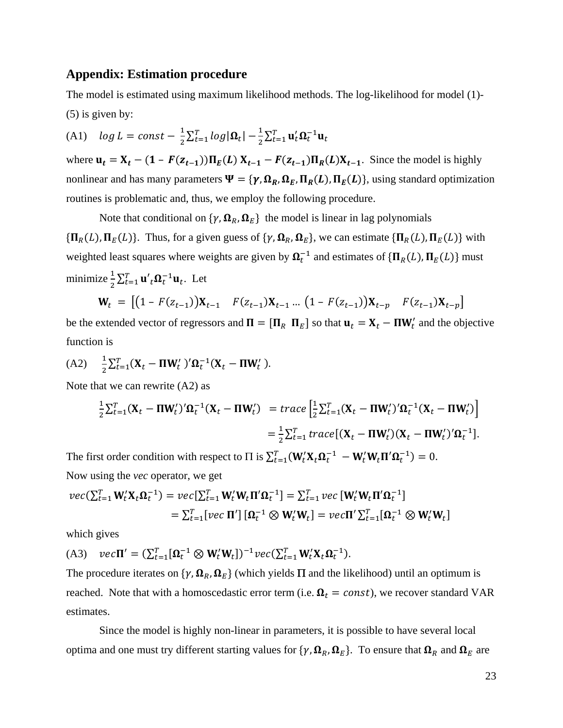#### **Appendix: Estimation procedure**

The model is estimated using maximum likelihood methods. The log-likelihood for model (1)- (5) is given by:

(A1)  $log L = const - \frac{1}{2} \sum_{t=1}^{T} log |\mathbf{\Omega}_t|$  –  $\frac{1}{2} \sum_{t=1}^T \mathbf{u}_t' \mathbf{\Omega}_t^{-1} \mathbf{u}_t$ 

where  $\mathbf{u}_t = \mathbf{X}_t - (1 - F(\mathbf{z}_{t-1})) \Pi_E(L) \mathbf{X}_{t-1} - F(\mathbf{z}_{t-1}) \Pi_R(L) \mathbf{X}_{t-1}$ . Since the model is highly nonlinear and has many parameters  $\Psi = \{ \gamma, \Omega_R, \Omega_E, \Pi_R(L), \Pi_E(L) \}$ , using standard optimization routines is problematic and, thus, we employ the following procedure.

Note that conditional on  $\{\gamma, \Omega_R, \Omega_F\}$  the model is linear in lag polynomials  $\{\Pi_R(L), \Pi_E(L)\}\$ . Thus, for a given guess of  $\{\gamma, \Omega_R, \Omega_E\}$ , we can estimate  $\{\Pi_R(L), \Pi_E(L)\}\$  with weighted least squares where weights are given by  $\Omega_t^{-1}$  and estimates of  $\{\Pi_R(L), \Pi_E(L)\}\$  must minimize  $\frac{1}{2} \sum_{t=1}^{T} \mathbf{u}'_t \mathbf{\Omega}_t^{-1} \mathbf{u}_t$ . Let

$$
\mathbf{W}_t = \begin{bmatrix} (1 - F(z_{t-1}))\mathbf{X}_{t-1} & F(z_{t-1})\mathbf{X}_{t-1} \dots (1 - F(z_{t-1}))\mathbf{X}_{t-p} & F(z_{t-1})\mathbf{X}_{t-p} \end{bmatrix}
$$

be the extended vector of regressors and  $\Pi = [\Pi_R \ \Pi_E]$  so that  $\mathbf{u}_t = \mathbf{X}_t - \Pi \mathbf{W}_t'$  and the objective function is

(A2) 
$$
\frac{1}{2} \sum_{t=1}^{T} (\mathbf{X}_t - \mathbf{\Pi} \mathbf{W}_t')' \mathbf{\Omega}_t^{-1} (\mathbf{X}_t - \mathbf{\Pi} \mathbf{W}_t').
$$

Note that we can rewrite (A2) as

$$
\frac{1}{2}\sum_{t=1}^{T}(\mathbf{X}_t - \mathbf{\Pi}\mathbf{W}_t')'\mathbf{\Omega}_t^{-1}(\mathbf{X}_t - \mathbf{\Pi}\mathbf{W}_t') = trace\left[\frac{1}{2}\sum_{t=1}^{T}(\mathbf{X}_t - \mathbf{\Pi}\mathbf{W}_t')'\mathbf{\Omega}_t^{-1}(\mathbf{X}_t - \mathbf{\Pi}\mathbf{W}_t')\right]
$$
\n
$$
= \frac{1}{2}\sum_{t=1}^{T} trace[(\mathbf{X}_t - \mathbf{\Pi}\mathbf{W}_t')(\mathbf{X}_t - \mathbf{\Pi}\mathbf{W}_t')'\mathbf{\Omega}_t^{-1}].
$$

The first order condition with respect to  $\Pi$  is  $\sum_{t=1}^{T} (\mathbf{W}_t' \mathbf{X}_t \mathbf{\Omega}_t^{-1} - \mathbf{W}_t' \mathbf{W}_t \Pi' \mathbf{\Omega}_t^{-1}) = 0$ . Now using the *vec* operator, we get

$$
vec(\Sigma_{t=1}^T \mathbf{W}_t^{\prime} \mathbf{X}_t \mathbf{\Omega}_t^{-1}) = vec[\Sigma_{t=1}^T \mathbf{W}_t^{\prime} \mathbf{W}_t \Pi^{\prime} \mathbf{\Omega}_t^{-1}] = \Sigma_{t=1}^T vec[\mathbf{W}_t^{\prime} \mathbf{W}_t \Pi^{\prime} \mathbf{\Omega}_t^{-1}]
$$
  
=  $\Sigma_{t=1}^T [vec \Pi^{\prime}] [\mathbf{\Omega}_t^{-1} \otimes \mathbf{W}_t^{\prime} \mathbf{W}_t] = vec[\mathbf{T}^{\prime} \Sigma_{t=1}^T [\mathbf{\Omega}_t^{-1} \otimes \mathbf{W}_t^{\prime} \mathbf{W}_t]]$ 

which gives

(A3)  $vec\Pi' = (\sum_{t=1}^T [\mathbf{\Omega}_t^{-1} \otimes \mathbf{W}_t' \mathbf{W}_t])^{-1} vec(\sum_{t=1}^T \mathbf{W}_t' \mathbf{X}_t \mathbf{\Omega}_t^{-1}).$ 

The procedure iterates on  $\{\gamma, \Omega_R, \Omega_F\}$  (which yields  $\Pi$  and the likelihood) until an optimum is reached. Note that with a homoscedastic error term (i.e.  $\Omega_t = const$ ), we recover standard VAR estimates.

Since the model is highly non-linear in parameters, it is possible to have several local optima and one must try different starting values for  $\{\gamma, \Omega_R, \Omega_E\}$ . To ensure that  $\Omega_R$  and  $\Omega_E$  are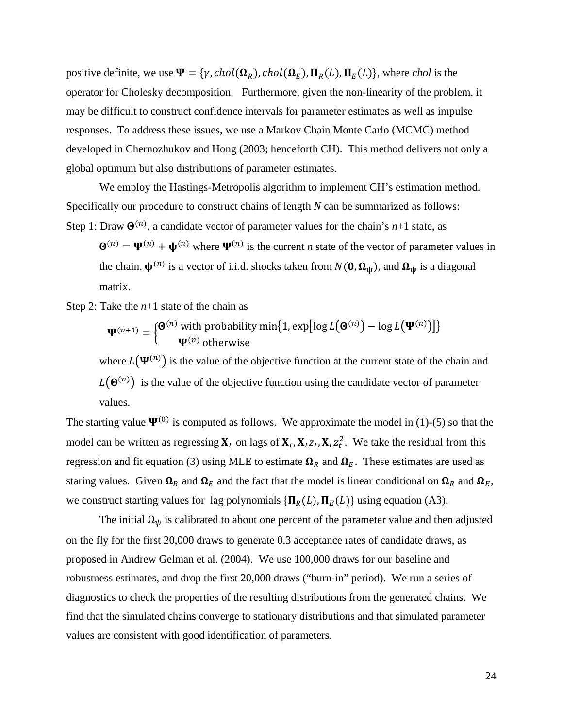positive definite, we use  $\Psi = \{\gamma, chol(\Omega_R), chol(\Omega_F), \Pi_R(L), \Pi_E(L)\}\$ , where *chol* is the operator for Cholesky decomposition. Furthermore, given the non-linearity of the problem, it may be difficult to construct confidence intervals for parameter estimates as well as impulse responses. To address these issues, we use a Markov Chain Monte Carlo (MCMC) method developed in Chernozhukov and Hong (2003; henceforth CH). This method delivers not only a global optimum but also distributions of parameter estimates.

We employ the Hastings-Metropolis algorithm to implement CH's estimation method. Specifically our procedure to construct chains of length *N* can be summarized as follows: Step 1: Draw  $\mathbf{\Theta}^{(n)}$ , a candidate vector of parameter values for the chain's *n*+1 state, as

 $\mathbf{\Theta}^{(n)} = \mathbf{\Psi}^{(n)} + \mathbf{\Psi}^{(n)}$  where  $\mathbf{\Psi}^{(n)}$  is the current *n* state of the vector of parameter values in the chain,  $\psi^{(n)}$  is a vector of i.i.d. shocks taken from  $N(\mathbf{0}, \mathbf{\Omega}_{\psi})$ , and  $\mathbf{\Omega}_{\psi}$  is a diagonal matrix.

Step 2: Take the *n*+1 state of the chain as

$$
\mathbf{\Psi}^{(n+1)} = \begin{cases} \mathbf{\Theta}^{(n)} \text{ with probability min}\{1, \exp[\log L(\mathbf{\Theta}^{(n)}) - \log L(\mathbf{\Psi}^{(n)})]\} \\ \mathbf{\Psi}^{(n)} \text{ otherwise} \end{cases}
$$

where  $L(\Psi^{(n)})$  is the value of the objective function at the current state of the chain and  $L(\Theta^{(n)})$  is the value of the objective function using the candidate vector of parameter values.

The starting value  $\Psi^{(0)}$  is computed as follows. We approximate the model in (1)-(5) so that the model can be written as regressing  $\mathbf{X}_t$  on lags of  $\mathbf{X}_t$ ,  $\mathbf{X}_t z_t$ ,  $\mathbf{X}_t z_t^2$ . We take the residual from this regression and fit equation (3) using MLE to estimate  $\Omega_R$  and  $\Omega_E$ . These estimates are used as staring values. Given  $\Omega_R$  and  $\Omega_E$  and the fact that the model is linear conditional on  $\Omega_R$  and  $\Omega_E$ , we construct starting values for lag polynomials  $\{\Pi_R(L), \Pi_F(L)\}\$  using equation (A3).

The initial  $\Omega_{\psi}$  is calibrated to about one percent of the parameter value and then adjusted on the fly for the first 20,000 draws to generate 0.3 acceptance rates of candidate draws, as proposed in Andrew Gelman et al. (2004). We use 100,000 draws for our baseline and robustness estimates, and drop the first 20,000 draws ("burn-in" period). We run a series of diagnostics to check the properties of the resulting distributions from the generated chains. We find that the simulated chains converge to stationary distributions and that simulated parameter values are consistent with good identification of parameters.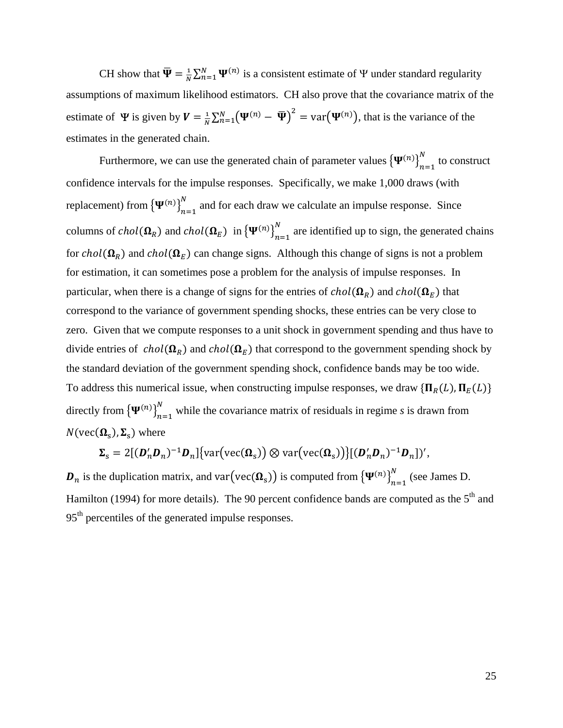CH show that  $\overline{\Psi} = \frac{1}{N} \sum_{n=1}^{N} \Psi^{(n)}$  is a consistent estimate of  $\Psi$  under standard regularity assumptions of maximum likelihood estimators. CH also prove that the covariance matrix of the estimate of  $\Psi$  is given by  $V = \frac{1}{N} \sum_{n=1}^{N} (\Psi^{(n)} - \overline{\Psi})^2 = \text{var}(\Psi^{(n)})$ , that is the variance of the estimates in the generated chain.

Furthermore, we can use the generated chain of parameter values  ${\Psi^{(n)}}_{n=1}^N$  $\sum_{n=1}^{N}$  to construct confidence intervals for the impulse responses. Specifically, we make 1,000 draws (with replacement) from  ${\Psi^{(n)}}_{n=1}^N$  and for each draw we calculate an impulse response. Since columns of  $chol(\mathbf{\Omega}_R)$  and  $chol(\mathbf{\Omega}_E)$  in  ${\Psi^{(n)}}_{n=1}^N$  are identified up to sign, the generated chains for  $chol(\Omega_R)$  and  $chol(\Omega_F)$  can change signs. Although this change of signs is not a problem for estimation, it can sometimes pose a problem for the analysis of impulse responses. In particular, when there is a change of signs for the entries of  $chol(\Omega_R)$  and  $chol(\Omega_E)$  that correspond to the variance of government spending shocks, these entries can be very close to zero. Given that we compute responses to a unit shock in government spending and thus have to divide entries of  $chol(\Omega_R)$  and  $chol(\Omega_E)$  that correspond to the government spending shock by the standard deviation of the government spending shock, confidence bands may be too wide. To address this numerical issue, when constructing impulse responses, we draw  $\{\Pi_R(L), \Pi_E(L)\}$ directly from  ${\Psi^{(n)}}_{n=1}^N$  while the covariance matrix of residuals in regime *s* is drawn from  $N(\text{vec}(\mathbf{\Omega}_s), \mathbf{\Sigma}_s)$  where

$$
\Sigma_{\rm s}=2[(\boldsymbol{D}_n'\boldsymbol{D}_n)^{-1}\boldsymbol{D}_n]\{\text{var}(\text{vec}(\Omega_{\rm s}))\otimes\text{var}(\text{vec}(\Omega_{\rm s}))\}[(\boldsymbol{D}_n'\boldsymbol{D}_n)^{-1}\boldsymbol{D}_n])',
$$

 $\bm{D}_n$  is the duplication matrix, and var $(\text{vec}(\bm{\Omega}_s))$  is computed from  ${\{\Psi^{(n)}\}}_{n=1}^N$  (see James D. Hamilton (1994) for more details). The 90 percent confidence bands are computed as the  $5<sup>th</sup>$  and 95th percentiles of the generated impulse responses.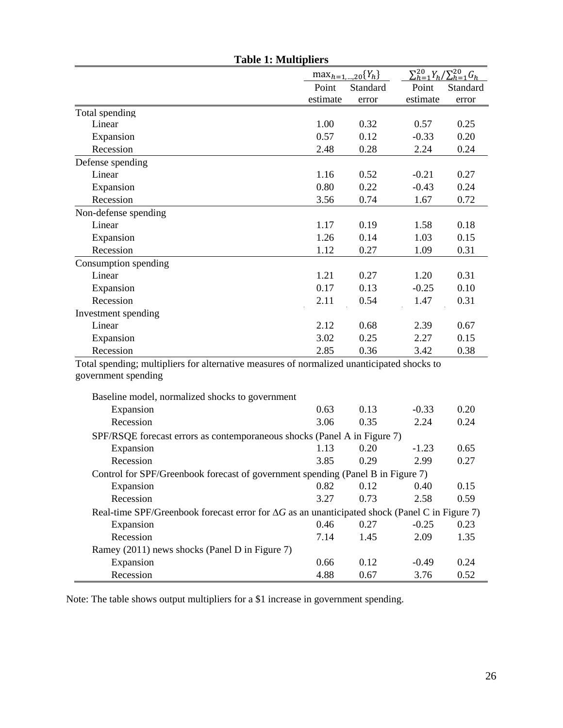| <b>Table 1: Multipliers</b>                                                                                       |          |                               |                                             |          |
|-------------------------------------------------------------------------------------------------------------------|----------|-------------------------------|---------------------------------------------|----------|
|                                                                                                                   |          | $\max_{h=1,\dots,20} \{Y_h\}$ | $\sum_{h=1}^{20} Y_h / \sum_{h=1}^{20} G_h$ |          |
|                                                                                                                   | Point    | Standard                      | Point                                       | Standard |
|                                                                                                                   | estimate | error                         | estimate                                    | error    |
| Total spending                                                                                                    |          |                               |                                             |          |
| Linear                                                                                                            | 1.00     | 0.32                          | 0.57                                        | 0.25     |
| Expansion                                                                                                         | 0.57     | 0.12                          | $-0.33$                                     | 0.20     |
| Recession                                                                                                         | 2.48     | 0.28                          | 2.24                                        | 0.24     |
| Defense spending                                                                                                  |          |                               |                                             |          |
| Linear                                                                                                            | 1.16     | 0.52                          | $-0.21$                                     | 0.27     |
| Expansion                                                                                                         | 0.80     | 0.22                          | $-0.43$                                     | 0.24     |
| Recession                                                                                                         | 3.56     | 0.74                          | 1.67                                        | 0.72     |
| Non-defense spending                                                                                              |          |                               |                                             |          |
| Linear                                                                                                            | 1.17     | 0.19                          | 1.58                                        | 0.18     |
| Expansion                                                                                                         | 1.26     | 0.14                          | 1.03                                        | 0.15     |
| Recession                                                                                                         | 1.12     | 0.27                          | 1.09                                        | 0.31     |
| Consumption spending                                                                                              |          |                               |                                             |          |
| Linear                                                                                                            | 1.21     | 0.27                          | 1.20                                        | 0.31     |
| Expansion                                                                                                         | 0.17     | 0.13                          | $-0.25$                                     | 0.10     |
| Recession                                                                                                         | 2.11     | 0.54                          | 1.47                                        | 0.31     |
| Investment spending                                                                                               |          |                               |                                             |          |
| Linear                                                                                                            | 2.12     | 0.68                          | 2.39                                        | 0.67     |
| Expansion                                                                                                         | 3.02     | 0.25                          | 2.27                                        | 0.15     |
| Recession                                                                                                         | 2.85     | 0.36                          | 3.42                                        | 0.38     |
| Total spending; multipliers for alternative measures of normalized unanticipated shocks to<br>government spending |          |                               |                                             |          |
| Baseline model, normalized shocks to government                                                                   |          |                               |                                             |          |
| Expansion                                                                                                         | 0.63     | 0.13                          | $-0.33$                                     | 0.20     |
| Recession                                                                                                         | 3.06     | 0.35                          | 2.24                                        | 0.24     |
| SPF/RSQE forecast errors as contemporaneous shocks (Panel A in Figure 7)                                          |          |                               |                                             |          |
| Expansion                                                                                                         | 1.13     | 0.20                          | $-1.23$                                     | 0.65     |
| Recession                                                                                                         | 3.85     | 0.29                          | 2.99                                        | 0.27     |
| Control for SPF/Greenbook forecast of government spending (Panel B in Figure 7)                                   |          |                               |                                             |          |
| Expansion                                                                                                         | 0.82     | 0.12                          | 0.40                                        | 0.15     |
| Recession                                                                                                         | 3.27     | 0.73                          | 2.58                                        | 0.59     |
| Real-time SPF/Greenbook forecast error for $\Delta G$ as an unanticipated shock (Panel C in Figure 7)             |          |                               |                                             |          |
| Expansion                                                                                                         | 0.46     | 0.27                          | $-0.25$                                     | 0.23     |
| Recession                                                                                                         | 7.14     | 1.45                          | 2.09                                        | 1.35     |
| Ramey (2011) news shocks (Panel D in Figure 7)                                                                    |          |                               |                                             |          |
| Expansion                                                                                                         | 0.66     | 0.12                          | $-0.49$                                     | 0.24     |
| Recession                                                                                                         | 4.88     | 0.67                          | 3.76                                        | 0.52     |

Note: The table shows output multipliers for a \$1 increase in government spending.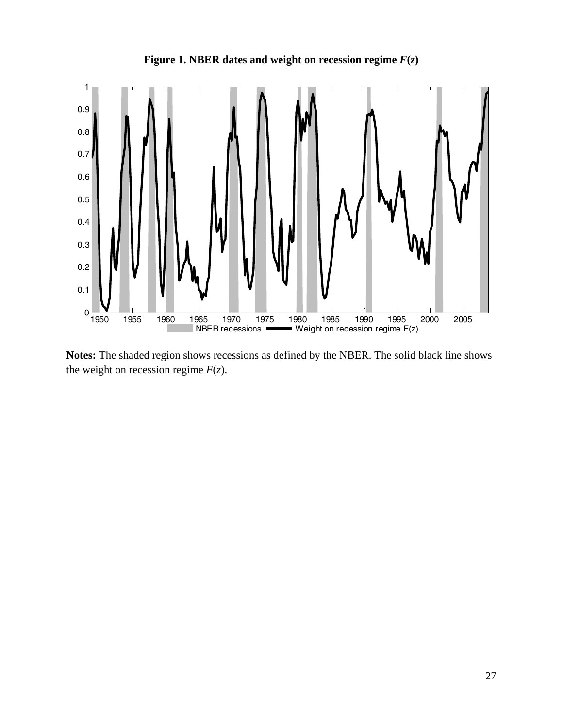

**Figure 1. NBER dates and weight on recession regime**  $F(z)$ 

**Notes:** The shaded region shows recessions as defined by the NBER. The solid black line shows the weight on recession regime  $F(z)$ .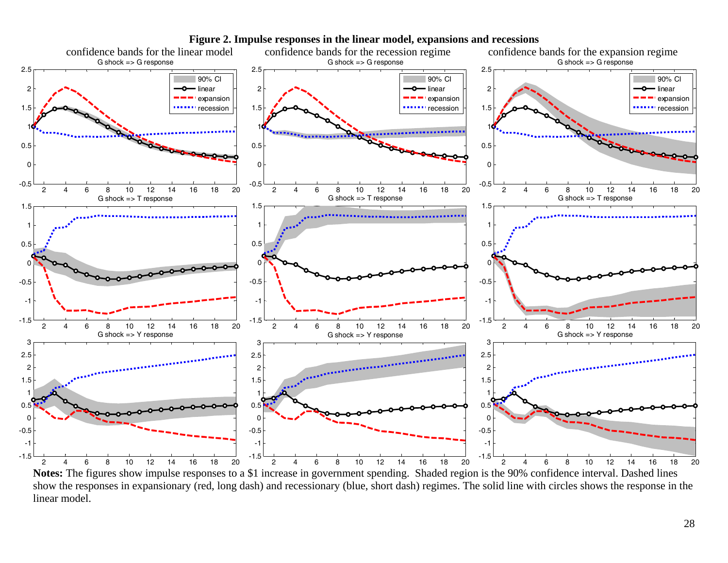

**Figure 2. Impulse responses in the linear model, expansions and recessions** 

**Notes:** The figures show impulse responses to a \$1 increase in government spending. Shaded region is the 90% confidence interval. Dashed lines show the responses in expansionary (red, long dash) and recessionary (blue, short dash) regimes. The solid line with circles shows the response in the linear model.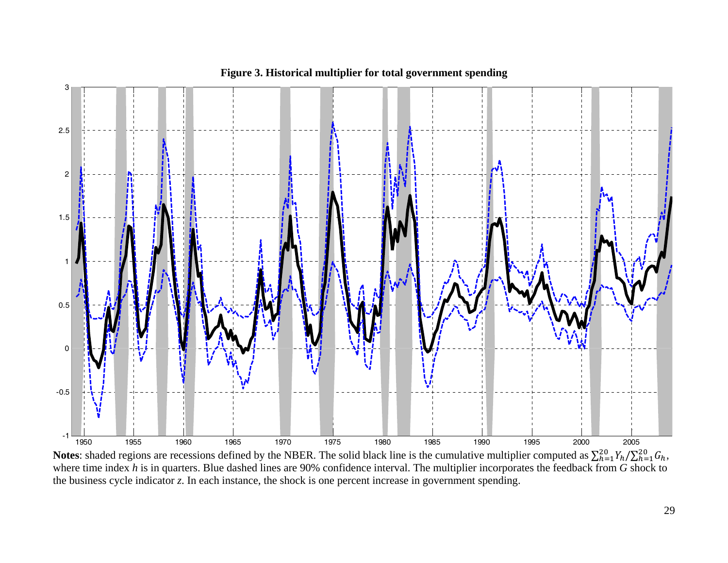

**Figure 3. Historical multiplier for total government spending** 

**Notes**: shaded regions are recessions defined by the NBER. The solid black line is the cumulative multiplier computed as  $\sum_{h=1}^{20} Y_h / \sum_{h=1}^{20} G_h$ , where time index *h* is in quarters. Blue dashed lines are 90% confidence interval. The multiplier incorporates the feedback from *G* shock to the business cycle indicator *z*. In each instance, the shock is one percent increase in government spending.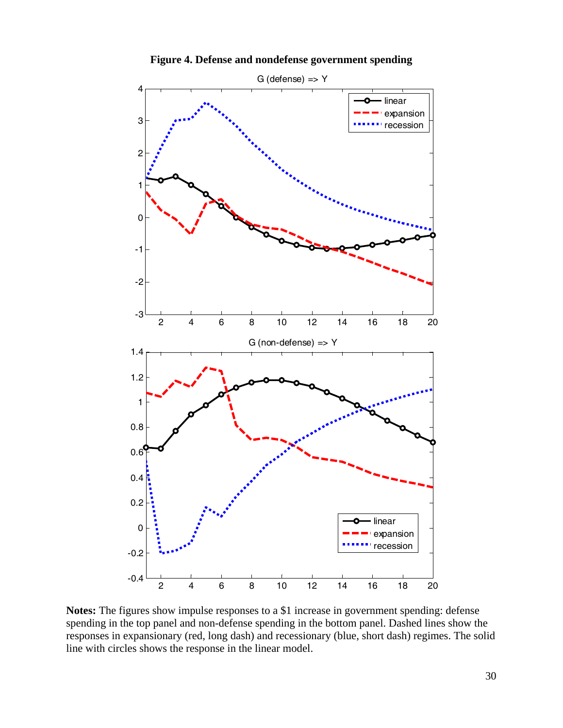

**Figure 4. Defense and nondefense government spending** 

**Notes:** The figures show impulse responses to a \$1 increase in government spending: defense spending in the top panel and non-defense spending in the bottom panel. Dashed lines show the responses in expansionary (red, long dash) and recessionary (blue, short dash) regimes. The solid line with circles shows the response in the linear model.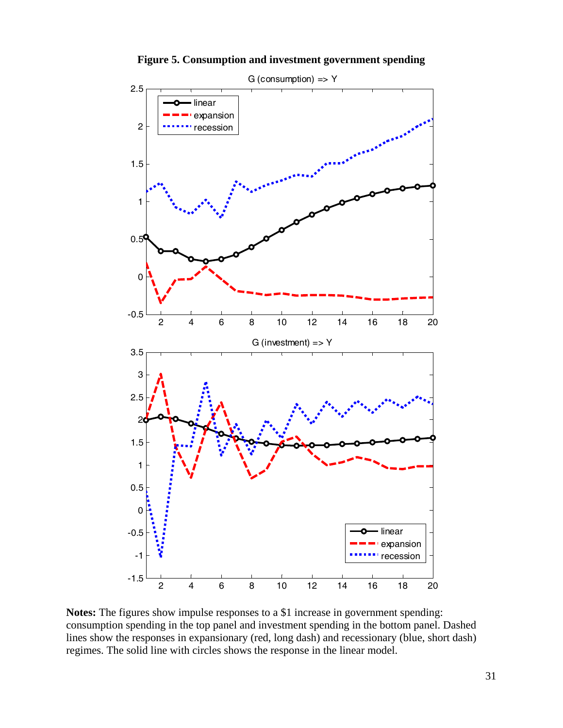

**Figure 5. Consumption and investment government spending** 

**Notes:** The figures show impulse responses to a \$1 increase in government spending: consumption spending in the top panel and investment spending in the bottom panel. Dashed lines show the responses in expansionary (red, long dash) and recessionary (blue, short dash) regimes. The solid line with circles shows the response in the linear model.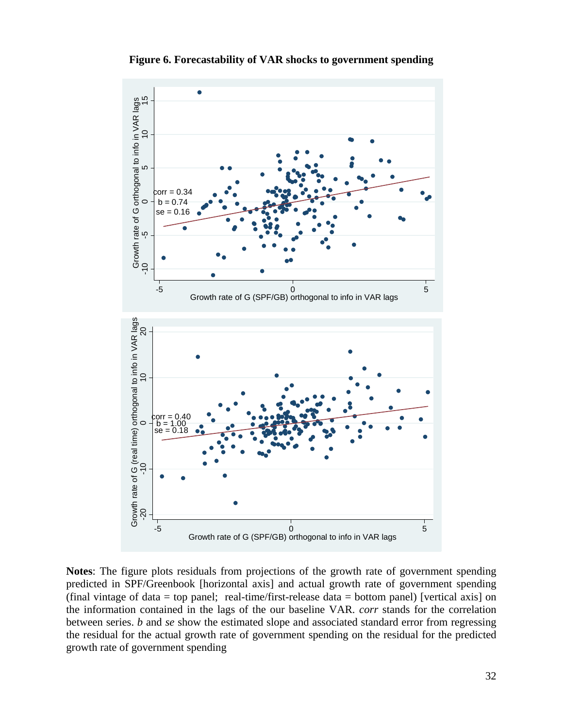

**Figure 6. Forecastability of VAR shocks to government spending**

**Notes**: The figure plots residuals from projections of the growth rate of government spending predicted in SPF/Greenbook [horizontal axis] and actual growth rate of government spending (final vintage of data = top panel; real-time/first-release data = bottom panel) [vertical axis] on the information contained in the lags of the our baseline VAR. *corr* stands for the correlation between series. *b* and *se* show the estimated slope and associated standard error from regressing the residual for the actual growth rate of government spending on the residual for the predicted growth rate of government spending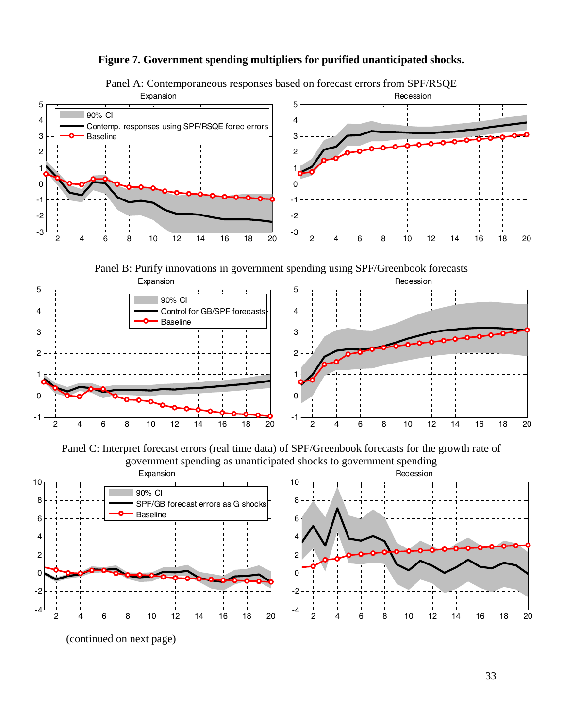### **Figure 7. Government spending multipliers for purified unanticipated shocks.**



Panel A: Contemporaneous responses based on forecast errors from SPF/RSQE

Panel B: Purify innovations in government spending using SPF/Greenbook forecasts



Panel C: Interpret forecast errors (real time data) of SPF/Greenbook forecasts for the growth rate of government spending as unanticipated shocks to government spending



(continued on next page)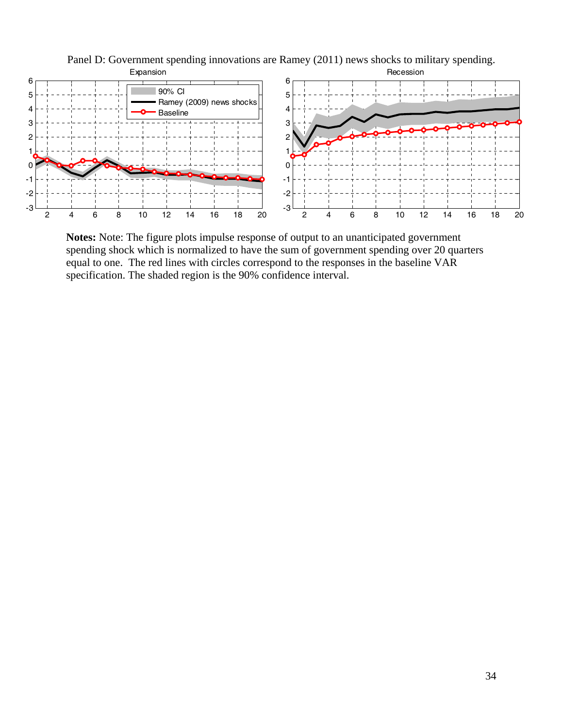

Panel D: Government spending innovations are Ramey (2011) news shocks to military spending.

**Notes:** Note: The figure plots impulse response of output to an unanticipated government spending shock which is normalized to have the sum of government spending over 20 quarters equal to one. The red lines with circles correspond to the responses in the baseline VAR specification. The shaded region is the 90% confidence interval.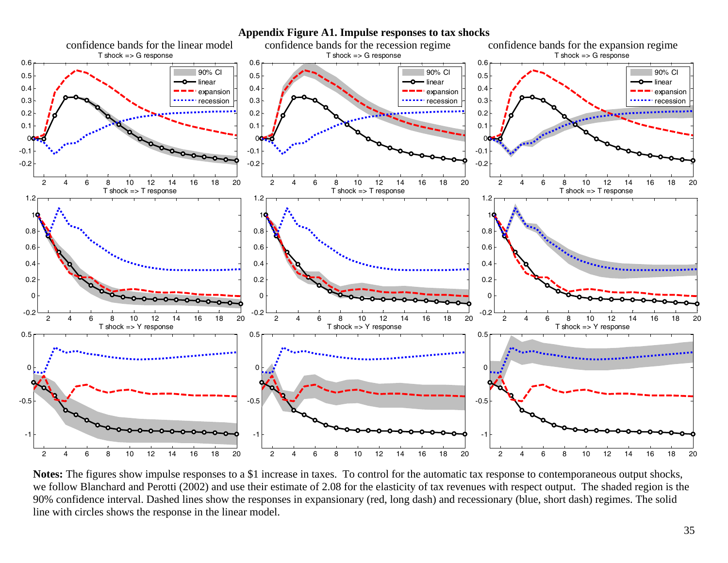

**Notes:** The figures show impulse responses to a \$1 increase in taxes. To control for the automatic tax response to contemporaneous output shocks, we follow Blanchard and Perotti (2002) and use their estimate of 2.08 for the elasticity of tax revenues with respect output. The shaded region is the 90% confidence interval. Dashed lines show the responses in expansionary (red, long dash) and recessionary (blue, short dash) regimes. The solid line with circles shows the response in the linear model.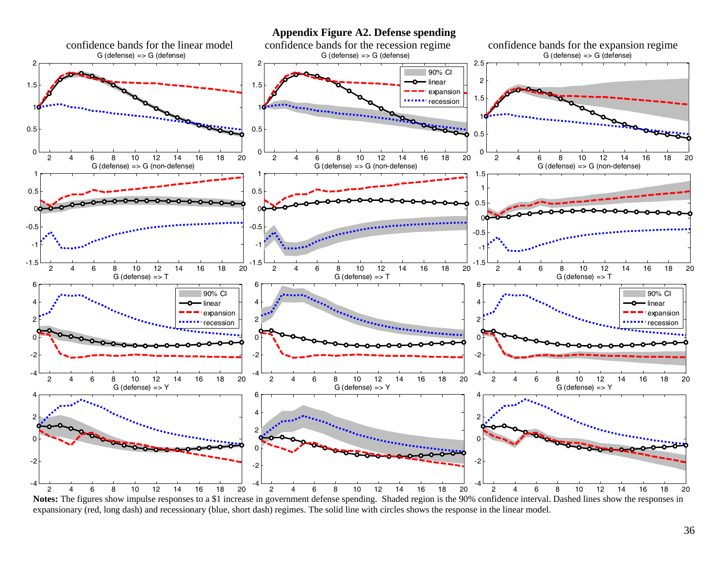**Appendix Figure A2. Defense spending** 



**Notes:** The figures show impulse responses to a \$1 increase in government defense spending. Shaded region is the 90% confidence interval. Dashed lines show the responses in expansionary (red, long dash) and recessionary (blue, short dash) regimes. The solid line with circles shows the response in the linear model.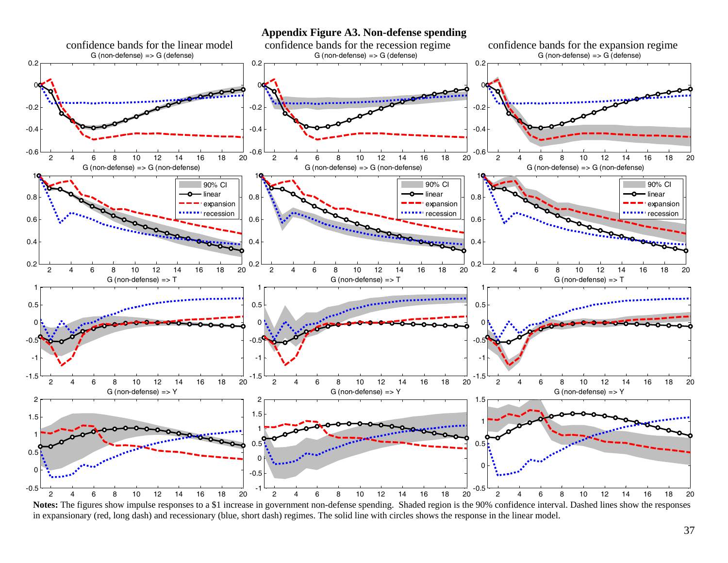**Appendix Figure A3. Non-defense spending** 



Notes: The figures show impulse responses to a \$1 increase in government non-defense spending. Shaded region is the 90% confidence interval. Dashed lines show the responses in expansionary (red, long dash) and recessionary (blue, short dash) regimes. The solid line with circles shows the response in the linear model.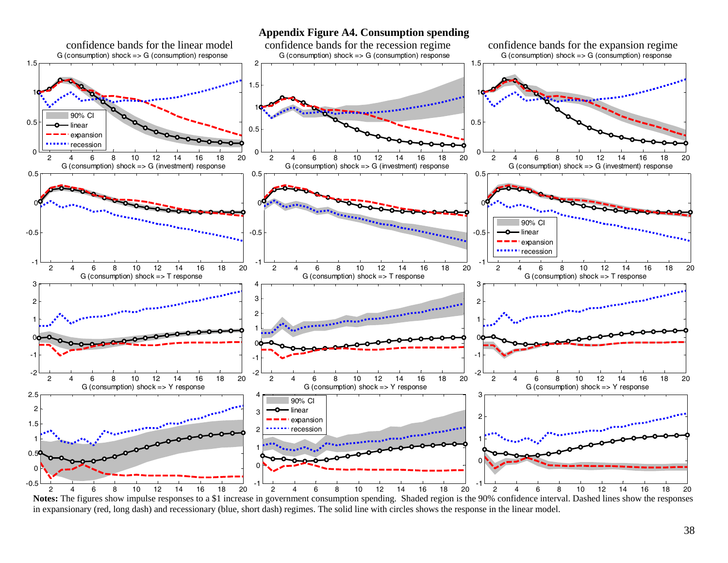#### **Appendix Figure A4. Consumption spending**



**Notes:** The figures show impulse responses to a \$1 increase in government consumption spending. Shaded region is the 90% confidence interval. Dashed lines show the responses in expansionary (red, long dash) and recessionary (blue, short dash) regimes. The solid line with circles shows the response in the linear model.